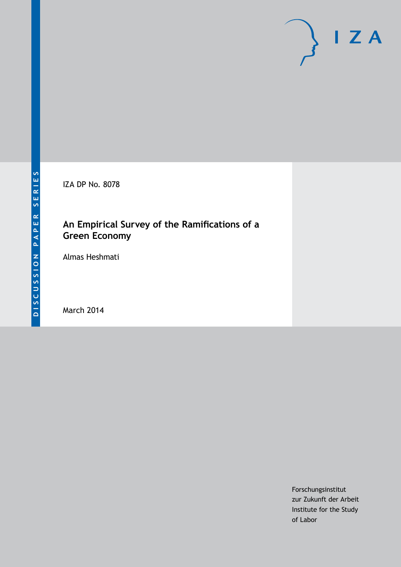IZA DP No. 8078

## **An Empirical Survey of the Ramifications of a Green Economy**

Almas Heshmati

March 2014

Forschungsinstitut zur Zukunft der Arbeit Institute for the Study of Labor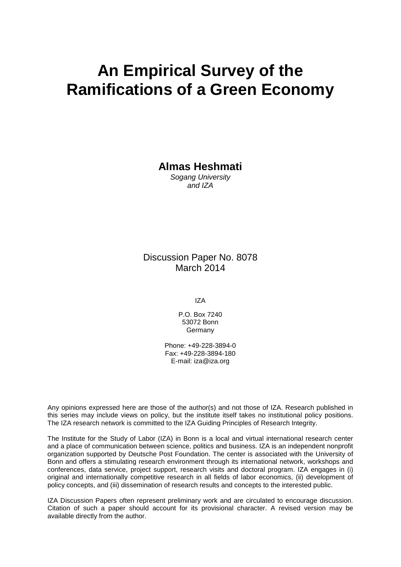# **An Empirical Survey of the Ramifications of a Green Economy**

**Almas Heshmati**

*Sogang University and IZA*

Discussion Paper No. 8078 March 2014

IZA

P.O. Box 7240 53072 Bonn Germany

Phone: +49-228-3894-0 Fax: +49-228-3894-180 E-mail: [iza@iza.org](mailto:iza@iza.org)

Any opinions expressed here are those of the author(s) and not those of IZA. Research published in this series may include views on policy, but the institute itself takes no institutional policy positions. The IZA research network is committed to the IZA Guiding Principles of Research Integrity.

The Institute for the Study of Labor (IZA) in Bonn is a local and virtual international research center and a place of communication between science, politics and business. IZA is an independent nonprofit organization supported by Deutsche Post Foundation. The center is associated with the University of Bonn and offers a stimulating research environment through its international network, workshops and conferences, data service, project support, research visits and doctoral program. IZA engages in (i) original and internationally competitive research in all fields of labor economics, (ii) development of policy concepts, and (iii) dissemination of research results and concepts to the interested public.

IZA Discussion Papers often represent preliminary work and are circulated to encourage discussion. Citation of such a paper should account for its provisional character. A revised version may be available directly from the author.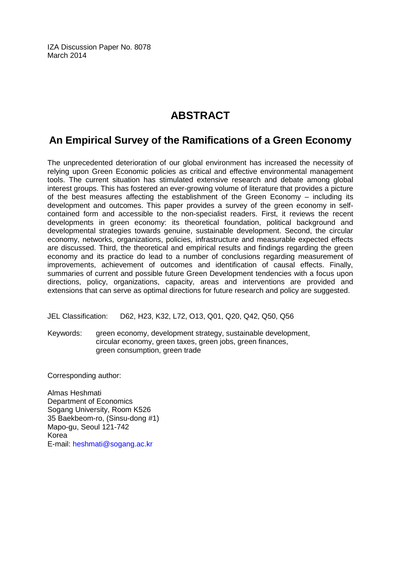IZA Discussion Paper No. 8078 March 2014

# **ABSTRACT**

### **An Empirical Survey of the Ramifications of a Green Economy**

The unprecedented deterioration of our global environment has increased the necessity of relying upon Green Economic policies as critical and effective environmental management tools. The current situation has stimulated extensive research and debate among global interest groups. This has fostered an ever-growing volume of literature that provides a picture of the best measures affecting the establishment of the Green Economy – including its development and outcomes. This paper provides a survey of the green economy in selfcontained form and accessible to the non-specialist readers. First, it reviews the recent developments in green economy: its theoretical foundation, political background and developmental strategies towards genuine, sustainable development. Second, the circular economy, networks, organizations, policies, infrastructure and measurable expected effects are discussed. Third, the theoretical and empirical results and findings regarding the green economy and its practice do lead to a number of conclusions regarding measurement of improvements, achievement of outcomes and identification of causal effects. Finally, summaries of current and possible future Green Development tendencies with a focus upon directions, policy, organizations, capacity, areas and interventions are provided and extensions that can serve as optimal directions for future research and policy are suggested.

JEL Classification: D62, H23, K32, L72, O13, Q01, Q20, Q42, Q50, Q56

Keywords: green economy, development strategy, sustainable development, circular economy, green taxes, green jobs, green finances, green consumption, green trade

Corresponding author:

Almas Heshmati Department of Economics Sogang University, Room K526 35 Baekbeom-ro, (Sinsu-dong #1) Mapo-gu, Seoul 121-742 Korea E-mail: [heshmati@sogang.ac.kr](mailto:heshmati@sogang.ac.kr)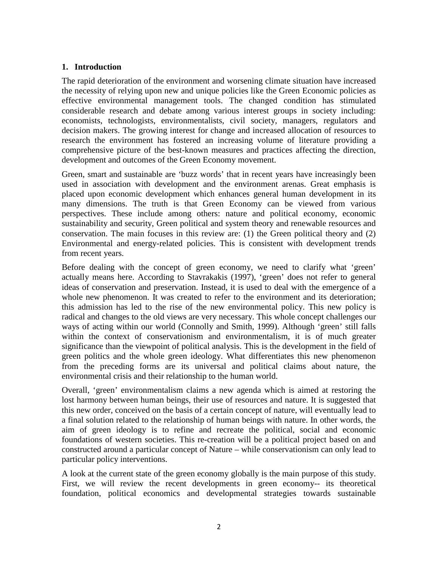#### **1. Introduction**

The rapid deterioration of the environment and worsening climate situation have increased the necessity of relying upon new and unique policies like the Green Economic policies as effective environmental management tools. The changed condition has stimulated considerable research and debate among various interest groups in society including: economists, technologists, environmentalists, civil society, managers, regulators and decision makers. The growing interest for change and increased allocation of resources to research the environment has fostered an increasing volume of literature providing a comprehensive picture of the best-known measures and practices affecting the direction, development and outcomes of the Green Economy movement.

Green, smart and sustainable are 'buzz words' that in recent years have increasingly been used in association with development and the environment arenas. Great emphasis is placed upon economic development which enhances general human development in its many dimensions. The truth is that Green Economy can be viewed from various perspectives. These include among others: nature and political economy, economic sustainability and security, Green political and system theory and renewable resources and conservation. The main focuses in this review are: (1) the Green political theory and (2) Environmental and energy-related policies. This is consistent with development trends from recent years.

Before dealing with the concept of green economy, we need to clarify what 'green' actually means here. According to Stavrakakis (1997), 'green' does not refer to general ideas of conservation and preservation. Instead, it is used to deal with the emergence of a whole new phenomenon. It was created to refer to the environment and its deterioration; this admission has led to the rise of the new environmental policy. This new policy is radical and changes to the old views are very necessary. This whole concept challenges our ways of acting within our world (Connolly and Smith, 1999). Although 'green' still falls within the context of conservationism and environmentalism, it is of much greater significance than the viewpoint of political analysis. This is the development in the field of green politics and the whole green ideology. What differentiates this new phenomenon from the preceding forms are its universal and political claims about nature, the environmental crisis and their relationship to the human world.

Overall, 'green' environmentalism claims a new agenda which is aimed at restoring the lost harmony between human beings, their use of resources and nature. It is suggested that this new order, conceived on the basis of a certain concept of nature, will eventually lead to a final solution related to the relationship of human beings with nature. In other words, the aim of green ideology is to refine and recreate the political, social and economic foundations of western societies. This re-creation will be a political project based on and constructed around a particular concept of Nature – while conservationism can only lead to particular policy interventions.

A look at the current state of the green economy globally is the main purpose of this study. First, we will review the recent developments in green economy-- its theoretical foundation, political economics and developmental strategies towards sustainable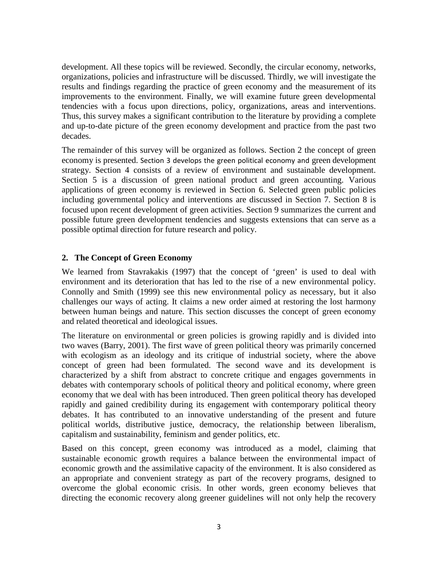development. All these topics will be reviewed. Secondly, the circular economy, networks, organizations, policies and infrastructure will be discussed. Thirdly, we will investigate the results and findings regarding the practice of green economy and the measurement of its improvements to the environment. Finally, we will examine future green developmental tendencies with a focus upon directions, policy, organizations, areas and interventions. Thus, this survey makes a significant contribution to the literature by providing a complete and up-to-date picture of the green economy development and practice from the past two decades.

The remainder of this survey will be organized as follows. Section 2 the concept of green economy is presented. Section 3 develops the green political economy and green development strategy. Section 4 consists of a review of environment and sustainable development. Section 5 is a discussion of green national product and green accounting. Various applications of green economy is reviewed in Section 6. Selected green public policies including governmental policy and interventions are discussed in Section 7. Section 8 is focused upon recent development of green activities. Section 9 summarizes the current and possible future green development tendencies and suggests extensions that can serve as a possible optimal direction for future research and policy.

#### **2. The Concept of Green Economy**

We learned from Stavrakakis (1997) that the concept of 'green' is used to deal with environment and its deterioration that has led to the rise of a new environmental policy. Connolly and Smith (1999) see this new environmental policy as necessary, but it also challenges our ways of acting. It claims a new order aimed at restoring the lost harmony between human beings and nature. This section discusses the concept of green economy and related theoretical and ideological issues.

The literature on environmental or green policies is growing rapidly and is divided into two waves (Barry, 2001). The first wave of green political theory was primarily concerned with ecologism as an ideology and its critique of industrial society, where the above concept of green had been formulated. The second wave and its development is characterized by a shift from abstract to concrete critique and engages governments in debates with contemporary schools of political theory and political economy, where green economy that we deal with has been introduced. Then green political theory has developed rapidly and gained credibility during its engagement with contemporary political theory debates. It has contributed to an innovative understanding of the present and future political worlds, distributive justice, democracy, the relationship between liberalism, capitalism and sustainability, feminism and gender politics, etc.

Based on this concept, green economy was introduced as a model, claiming that sustainable economic growth requires a balance between the environmental impact of economic growth and the assimilative capacity of the environment. It is also considered as an appropriate and convenient strategy as part of the recovery programs, designed to overcome the global economic crisis. In other words, green economy believes that directing the economic recovery along greener guidelines will not only help the recovery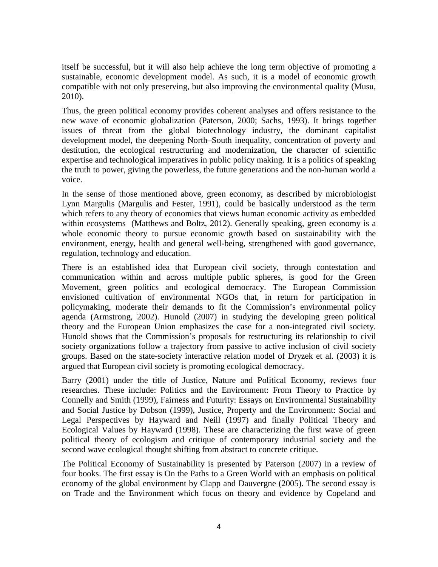itself be successful, but it will also help achieve the long term objective of promoting a sustainable, economic development model. As such, it is a model of economic growth compatible with not only preserving, but also improving the environmental quality (Musu, 2010).

Thus, the green political economy provides coherent analyses and offers resistance to the new wave of economic globalization (Paterson, 2000; Sachs, 1993). It brings together issues of threat from the global biotechnology industry, the dominant capitalist development model, the deepening North–South inequality, concentration of poverty and destitution, the ecological restructuring and modernization, the character of scientific expertise and technological imperatives in public policy making. It is a politics of speaking the truth to power, giving the powerless, the future generations and the non-human world a voice.

In the sense of those mentioned above, green economy, as described by microbiologist Lynn Margulis (Margulis and Fester, 1991), could be basically understood as the term which refers to any theory of economics that views human economic activity as embedded within ecosystems (Matthews and Boltz, 2012). Generally speaking, green economy is a whole economic theory to pursue economic growth based on sustainability with the environment, energy, health and general well-being, strengthened with good governance, regulation, technology and education.

There is an established idea that European civil society, through contestation and communication within and across multiple public spheres, is good for the Green Movement, green politics and ecological democracy. The European Commission envisioned cultivation of environmental NGOs that, in return for participation in policymaking, moderate their demands to fit the Commission's environmental policy agenda (Armstrong, 2002). Hunold (2007) in studying the developing green political theory and the European Union emphasizes the case for a non-integrated civil society. Hunold shows that the Commission's proposals for restructuring its relationship to civil society organizations follow a trajectory from passive to active inclusion of civil society groups. Based on the state-society interactive relation model of Dryzek et al. (2003) it is argued that European civil society is promoting ecological democracy.

Barry (2001) under the title of Justice, Nature and Political Economy, reviews four researches. These include: Politics and the Environment: From Theory to Practice by Connelly and Smith (1999), Fairness and Futurity: Essays on Environmental Sustainability and Social Justice by Dobson (1999), Justice, Property and the Environment: Social and Legal Perspectives by Hayward and Neill (1997) and finally Political Theory and Ecological Values by Hayward (1998). These are characterizing the first wave of green political theory of ecologism and critique of contemporary industrial society and the second wave ecological thought shifting from abstract to concrete critique.

The Political Economy of Sustainability is presented by Paterson (2007) in a review of four books. The first essay is On the Paths to a Green World with an emphasis on political economy of the global environment by Clapp and Dauvergne (2005). The second essay is on Trade and the Environment which focus on theory and evidence by Copeland and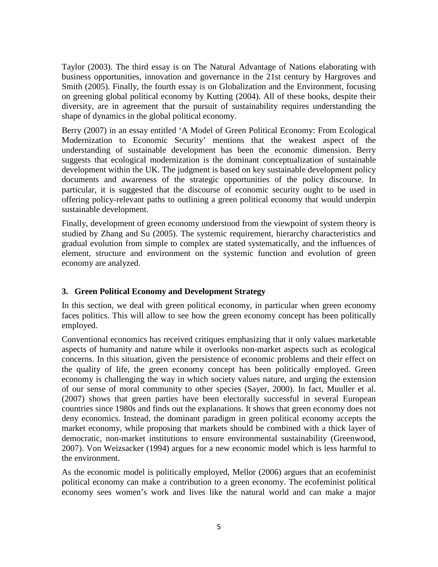Taylor (2003). The third essay is on The Natural Advantage of Nations elaborating with business opportunities, innovation and governance in the 21st century by Hargroves and Smith (2005). Finally, the fourth essay is on Globalization and the Environment, focusing on greening global political economy by Kutting (2004). All of these books, despite their diversity, are in agreement that the pursuit of sustainability requires understanding the shape of dynamics in the global political economy.

Berry (2007) in an essay entitled 'A Model of Green Political Economy: From Ecological Modernization to Economic Security' mentions that the weakest aspect of the understanding of sustainable development has been the economic dimension. Berry suggests that ecological modernization is the dominant conceptualization of sustainable development within the UK. The judgment is based on key sustainable development policy documents and awareness of the strategic opportunities of the policy discourse. In particular, it is suggested that the discourse of economic security ought to be used in offering policy-relevant paths to outlining a green political economy that would underpin sustainable development.

Finally, development of green economy understood from the viewpoint of system theory is studied by Zhang and Su (2005). The systemic requirement, hierarchy characteristics and gradual evolution from simple to complex are stated systematically, and the influences of element, structure and environment on the systemic function and evolution of green economy are analyzed.

#### **3. Green Political Economy and Development Strategy**

In this section, we deal with green political economy, in particular when green economy faces politics. This will allow to see how the green economy concept has been politically employed.

Conventional economics has received critiques emphasizing that it only values marketable aspects of humanity and nature while it overlooks non-market aspects such as ecological concerns. In this situation, given the persistence of economic problems and their effect on the quality of life, the green economy concept has been politically employed. Green economy is challenging the way in which society values nature, and urging the extension of our sense of moral community to other species (Sayer, 2000). In fact, Muuller et al. (2007) shows that green parties have been electorally successful in several European countries since 1980s and finds out the explanations. It shows that green economy does not deny economics. Instead, the dominant paradigm in green political economy accepts the market economy, while proposing that markets should be combined with a thick layer of democratic, non-market institutions to ensure environmental sustainability (Greenwood, 2007). Von Weizsacker (1994) argues for a new economic model which is less harmful to the environment.

As the economic model is politically employed, Mellor (2006) argues that an ecofeminist political economy can make a contribution to a green economy. The ecofeminist political economy sees women's work and lives like the natural world and can make a major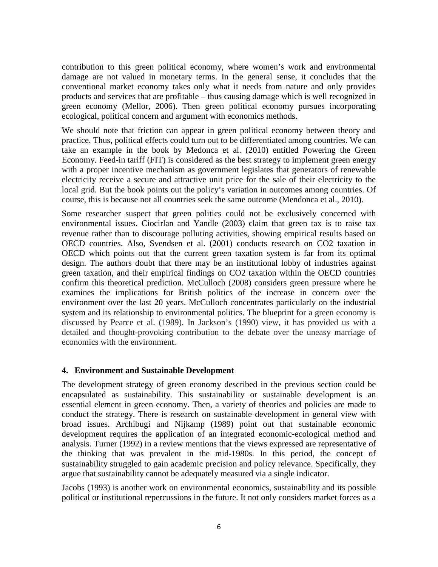contribution to this green political economy, where women's work and environmental damage are not valued in monetary terms. In the general sense, it concludes that the conventional market economy takes only what it needs from nature and only provides products and services that are profitable – thus causing damage which is well recognized in green economy (Mellor, 2006). Then green political economy pursues incorporating ecological, political concern and argument with economics methods.

We should note that friction can appear in green political economy between theory and practice. Thus, political effects could turn out to be differentiated among countries. We can take an example in the book by Medonca et al. (2010) entitled Powering the Green Economy. Feed-in tariff (FIT) is considered as the best strategy to implement green energy with a proper incentive mechanism as government legislates that generators of renewable electricity receive a secure and attractive unit price for the sale of their electricity to the local grid. But the book points out the policy's variation in outcomes among countries. Of course, this is because not all countries seek the same outcome (Mendonca et al., 2010).

Some researcher suspect that green politics could not be exclusively concerned with environmental issues. Ciocirlan and Yandle (2003) claim that green tax is to raise tax revenue rather than to discourage polluting activities, showing empirical results based on OECD countries. Also, Svendsen et al. (2001) conducts research on CO2 taxation in OECD which points out that the current green taxation system is far from its optimal design. The authors doubt that there may be an institutional lobby of industries against green taxation, and their empirical findings on CO2 taxation within the OECD countries confirm this theoretical prediction. McCulloch (2008) considers green pressure where he examines the implications for British politics of the increase in concern over the environment over the last 20 years. McCulloch concentrates particularly on the industrial system and its relationship to environmental politics. The blueprint for a green economy is discussed by Pearce et al. (1989). In Jackson's (1990) view, it has provided us with a detailed and thought-provoking contribution to the debate over the uneasy marriage of economics with the environment.

#### **4. Environment and Sustainable Development**

The development strategy of green economy described in the previous section could be encapsulated as sustainability. This sustainability or sustainable development is an essential element in green economy. Then, a variety of theories and policies are made to conduct the strategy. There is research on sustainable development in general view with broad issues. Archibugi and Nijkamp (1989) point out that sustainable economic development requires the application of an integrated economic-ecological method and analysis. Turner (1992) in a review mentions that the views expressed are representative of the thinking that was prevalent in the mid-1980s. In this period, the concept of sustainability struggled to gain academic precision and policy relevance. Specifically, they argue that sustainability cannot be adequately measured via a single indicator.

Jacobs (1993) is another work on environmental economics, sustainability and its possible political or institutional repercussions in the future. It not only considers market forces as a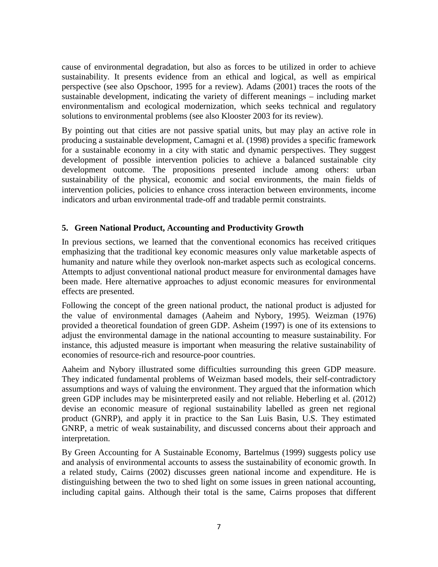cause of environmental degradation, but also as forces to be utilized in order to achieve sustainability. It presents evidence from an ethical and logical, as well as empirical perspective (see also Opschoor, 1995 for a review). Adams (2001) traces the roots of the sustainable development, indicating the variety of different meanings – including market environmentalism and ecological modernization, which seeks technical and regulatory solutions to environmental problems (see also Klooster 2003 for its review).

By pointing out that cities are not passive spatial units, but may play an active role in producing a sustainable development, Camagni et al. (1998) provides a specific framework for a sustainable economy in a city with static and dynamic perspectives. They suggest development of possible intervention policies to achieve a balanced sustainable city development outcome. The propositions presented include among others: urban sustainability of the physical, economic and social environments, the main fields of intervention policies, policies to enhance cross interaction between environments, income indicators and urban environmental trade-off and tradable permit constraints.

#### **5. Green National Product, Accounting and Productivity Growth**

In previous sections, we learned that the conventional economics has received critiques emphasizing that the traditional key economic measures only value marketable aspects of humanity and nature while they overlook non-market aspects such as ecological concerns. Attempts to adjust conventional national product measure for environmental damages have been made. Here alternative approaches to adjust economic measures for environmental effects are presented.

Following the concept of the green national product, the national product is adjusted for the value of environmental damages (Aaheim and Nybory, 1995). Weizman (1976) provided a theoretical foundation of green GDP. Asheim (1997) is one of its extensions to adjust the environmental damage in the national accounting to measure sustainability. For instance, this adjusted measure is important when measuring the relative sustainability of economies of resource-rich and resource-poor countries.

Aaheim and Nybory illustrated some difficulties surrounding this green GDP measure. They indicated fundamental problems of Weizman based models, their self-contradictory assumptions and ways of valuing the environment. They argued that the information which green GDP includes may be misinterpreted easily and not reliable. Heberling et al. (2012) devise an economic measure of regional sustainability labelled as green net regional product (GNRP), and apply it in practice to the San Luis Basin, U.S. They estimated GNRP, a metric of weak sustainability, and discussed concerns about their approach and interpretation.

By Green Accounting for A Sustainable Economy, Bartelmus (1999) suggests policy use and analysis of environmental accounts to assess the sustainability of economic growth. In a related study, Cairns (2002) discusses green national income and expenditure. He is distinguishing between the two to shed light on some issues in green national accounting, including capital gains. Although their total is the same, Cairns proposes that different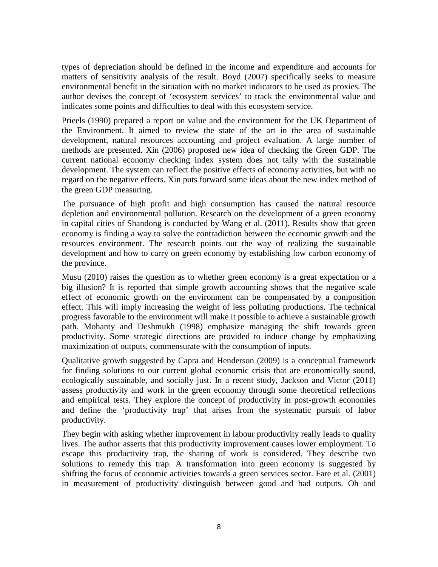types of depreciation should be defined in the income and expenditure and accounts for matters of sensitivity analysis of the result. Boyd (2007) specifically seeks to measure environmental benefit in the situation with no market indicators to be used as proxies. The author devises the concept of 'ecosystem services' to track the environmental value and indicates some points and difficulties to deal with this ecosystem service.

Prieels (1990) prepared a report on value and the environment for the UK Department of the Environment. It aimed to review the state of the art in the area of sustainable development, natural resources accounting and project evaluation. A large number of methods are presented. Xin (2006) proposed new idea of checking the Green GDP. The current national economy checking index system does not tally with the sustainable development. The system can reflect the positive effects of economy activities, but with no regard on the negative effects. Xin puts forward some ideas about the new index method of the green GDP measuring.

The pursuance of high profit and high consumption has caused the natural resource depletion and environmental pollution. Research on the development of a green economy in capital cities of Shandong is conducted by Wang et al. (2011). Results show that green economy is finding a way to solve the contradiction between the economic growth and the resources environment. The research points out the way of realizing the sustainable development and how to carry on green economy by establishing low carbon economy of the province.

Musu (2010) raises the question as to whether green economy is a great expectation or a big illusion? It is reported that simple growth accounting shows that the negative scale effect of economic growth on the environment can be compensated by a composition effect. This will imply increasing the weight of less polluting productions. The technical progress favorable to the environment will make it possible to achieve a sustainable growth path. Mohanty and Deshmukh (1998) emphasize managing the shift towards green productivity. Some strategic directions are provided to induce change by emphasizing maximization of outputs, commensurate with the consumption of inputs.

Qualitative growth suggested by Capra and Henderson (2009) is a conceptual framework for finding solutions to our current global economic crisis that are economically sound, ecologically sustainable, and socially just. In a recent study, Jackson and Victor (2011) assess productivity and work in the green economy through some theoretical reflections and empirical tests. They explore the concept of productivity in post-growth economies and define the 'productivity trap' that arises from the systematic pursuit of labor productivity.

They begin with asking whether improvement in labour productivity really leads to quality lives. The author asserts that this productivity improvement causes lower employment. To escape this productivity trap, the sharing of work is considered. They describe two solutions to remedy this trap. A transformation into green economy is suggested by shifting the focus of economic activities towards a green services sector. Fare et al. (2001) in measurement of productivity distinguish between good and bad outputs. Oh and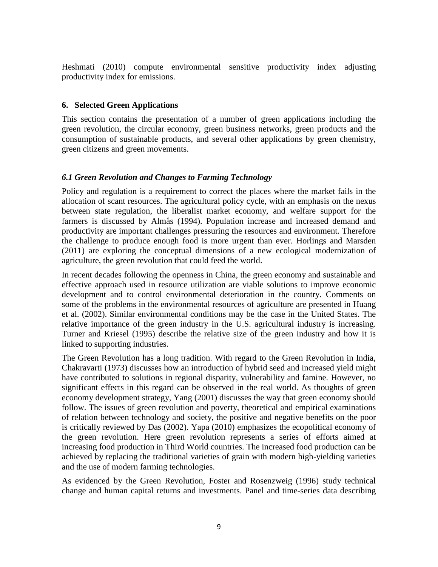Heshmati (2010) compute environmental sensitive productivity index adjusting productivity index for emissions.

#### **6. Selected Green Applications**

This section contains the presentation of a number of green applications including the green revolution, the circular economy, green business networks, green products and the consumption of sustainable products, and several other applications by green chemistry, green citizens and green movements.

#### *6.1 Green Revolution and Changes to Farming Technology*

Policy and regulation is a requirement to correct the places where the market fails in the allocation of scant resources. The agricultural policy cycle, with an emphasis on the nexus between state regulation, the liberalist market economy, and welfare support for the farmers is discussed by Almås (1994). Population increase and increased demand and productivity are important challenges pressuring the resources and environment. Therefore the challenge to produce enough food is more urgent than ever. Horlings and Marsden (2011) are exploring the conceptual dimensions of a new ecological modernization of agriculture, the green revolution that could feed the world.

In recent decades following the openness in China, the green economy and sustainable and effective approach used in resource utilization are viable solutions to improve economic development and to control environmental deterioration in the country. Comments on some of the problems in the environmental resources of agriculture are presented in Huang et al. (2002). Similar environmental conditions may be the case in the United States. The relative importance of the green industry in the U.S. agricultural industry is increasing. Turner and Kriesel (1995) describe the relative size of the green industry and how it is linked to supporting industries.

The Green Revolution has a long tradition. With regard to the Green Revolution in India, Chakravarti (1973) discusses how an introduction of hybrid seed and increased yield might have contributed to solutions in regional disparity, vulnerability and famine. However, no significant effects in this regard can be observed in the real world. As thoughts of green economy development strategy, Yang (2001) discusses the way that green economy should follow. The issues of green revolution and poverty, theoretical and empirical examinations of relation between technology and society, the positive and negative benefits on the poor is critically reviewed by Das (2002). Yapa (2010) emphasizes the ecopolitical economy of the green revolution. Here green revolution represents a series of efforts aimed at increasing food production in Third World countries. The increased food production can be achieved by replacing the traditional varieties of grain with modern high-yielding varieties and the use of modern farming technologies.

As evidenced by the Green Revolution, Foster and Rosenzweig (1996) study technical change and human capital returns and investments. Panel and time-series data describing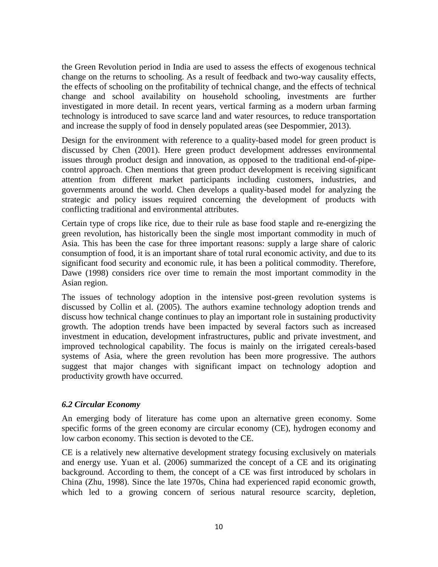the Green Revolution period in India are used to assess the effects of exogenous technical change on the returns to schooling. As a result of feedback and two-way causality effects, the effects of schooling on the profitability of technical change, and the effects of technical change and school availability on household schooling, investments are further investigated in more detail. In recent years, vertical farming as a modern urban farming technology is introduced to save scarce land and water resources, to reduce transportation and increase the supply of food in densely populated areas (see Despommier, 2013).

Design for the environment with reference to a quality-based model for green product is discussed by Chen (2001). Here green product development addresses environmental issues through product design and innovation, as opposed to the traditional end-of-pipecontrol approach. Chen mentions that green product development is receiving significant attention from different market participants including customers, industries, and governments around the world. Chen develops a quality-based model for analyzing the strategic and policy issues required concerning the development of products with conflicting traditional and environmental attributes.

Certain type of crops like rice, due to their rule as base food staple and re-energizing the green revolution, has historically been the single most important commodity in much of Asia. This has been the case for three important reasons: supply a large share of caloric consumption of food, it is an important share of total rural economic activity, and due to its significant food security and economic rule, it has been a political commodity. Therefore, Dawe (1998) considers rice over time to remain the most important commodity in the Asian region.

The issues of technology adoption in the intensive post-green revolution systems is discussed by Collin et al. (2005). The authors examine technology adoption trends and discuss how technical change continues to play an important role in sustaining productivity growth. The adoption trends have been impacted by several factors such as increased investment in education, development infrastructures, public and private investment, and improved technological capability. The focus is mainly on the irrigated cereals-based systems of Asia, where the green revolution has been more progressive. The authors suggest that major changes with significant impact on technology adoption and productivity growth have occurred.

#### *6.2 Circular Economy*

An emerging body of literature has come upon an alternative green economy. Some specific forms of the green economy are circular economy (CE), hydrogen economy and low carbon economy. This section is devoted to the CE.

CE is a relatively new alternative development strategy focusing exclusively on materials and energy use. Yuan et al. (2006) summarized the concept of a CE and its originating background. According to them, the concept of a CE was first introduced by scholars in China (Zhu, 1998). Since the late 1970s, China had experienced rapid economic growth, which led to a growing concern of serious natural resource scarcity, depletion,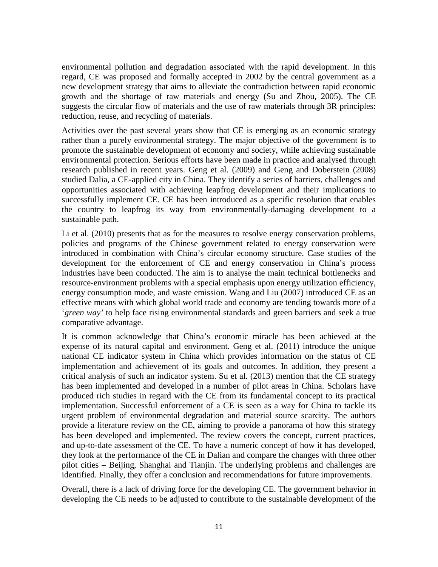environmental pollution and degradation associated with the rapid development. In this regard, CE was proposed and formally accepted in 2002 by the central government as a new development strategy that aims to alleviate the contradiction between rapid economic growth and the shortage of raw materials and energy (Su and Zhou, 2005). The CE suggests the circular flow of materials and the use of raw materials through 3R principles: reduction, reuse, and recycling of materials.

Activities over the past several years show that CE is emerging as an economic strategy rather than a purely environmental strategy. The major objective of the government is to promote the sustainable development of economy and society, while achieving sustainable environmental protection. Serious efforts have been made in practice and analysed through research published in recent years. Geng et al. (2009) and Geng and Doberstein (2008) studied Dalia, a CE-applied city in China. They identify a series of barriers, challenges and opportunities associated with achieving leapfrog development and their implications to successfully implement CE. CE has been introduced as a specific resolution that enables the country to leapfrog its way from environmentally-damaging development to a sustainable path.

Li et al. (2010) presents that as for the measures to resolve energy conservation problems, policies and programs of the Chinese government related to energy conservation were introduced in combination with China's circular economy structure. Case studies of the development for the enforcement of CE and energy conservation in China's process industries have been conducted. The aim is to analyse the main technical bottlenecks and resource-environment problems with a special emphasis upon energy utilization efficiency, energy consumption mode, and waste emission. Wang and Liu (2007) introduced CE as an effective means with which global world trade and economy are tending towards more of a '*green way'* to help face rising environmental standards and green barriers and seek a true comparative advantage.

It is common acknowledge that China's economic miracle has been achieved at the expense of its natural capital and environment. Geng et al. (2011) introduce the unique national CE indicator system in China which provides information on the status of CE implementation and achievement of its goals and outcomes. In addition, they present a critical analysis of such an indicator system. Su et al. (2013) mention that the CE strategy has been implemented and developed in a number of pilot areas in China. Scholars have produced rich studies in regard with the CE from its fundamental concept to its practical implementation. Successful enforcement of a CE is seen as a way for China to tackle its urgent problem of environmental degradation and material source scarcity. The authors provide a literature review on the CE, aiming to provide a panorama of how this strategy has been developed and implemented. The review covers the concept, current practices, and up-to-date assessment of the CE. To have a numeric concept of how it has developed, they look at the performance of the CE in Dalian and compare the changes with three other pilot cities – Beijing, Shanghai and Tianjin. The underlying problems and challenges are identified. Finally, they offer a conclusion and recommendations for future improvements.

Overall, there is a lack of driving force for the developing CE. The government behavior in developing the CE needs to be adjusted to contribute to the sustainable development of the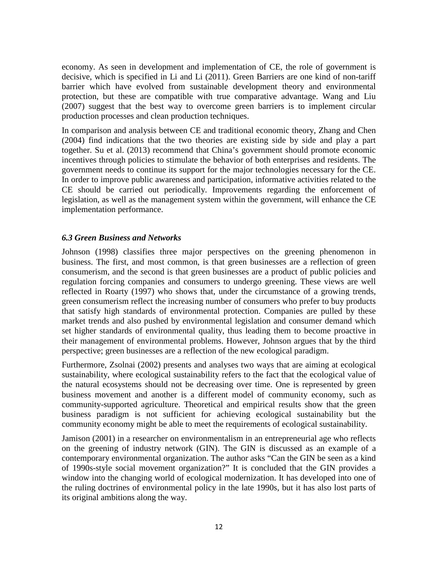economy. As seen in development and implementation of CE, the role of government is decisive, which is specified in Li and Li (2011). Green Barriers are one kind of non-tariff barrier which have evolved from sustainable development theory and environmental protection, but these are compatible with true comparative advantage. Wang and Liu (2007) suggest that the best way to overcome green barriers is to implement circular production processes and clean production techniques.

In comparison and analysis between CE and traditional economic theory, Zhang and Chen (2004) find indications that the two theories are existing side by side and play a part together. Su et al. (2013) recommend that China's government should promote economic incentives through policies to stimulate the behavior of both enterprises and residents. The government needs to continue its support for the major technologies necessary for the CE. In order to improve public awareness and participation, informative activities related to the CE should be carried out periodically. Improvements regarding the enforcement of legislation, as well as the management system within the government, will enhance the CE implementation performance.

#### *6.3 Green Business and Networks*

Johnson (1998) classifies three major perspectives on the greening phenomenon in business. The first, and most common, is that green businesses are a reflection of green consumerism, and the second is that green businesses are a product of public policies and regulation forcing companies and consumers to undergo greening. These views are well reflected in Roarty (1997) who shows that, under the circumstance of a growing trends, green consumerism reflect the increasing number of consumers who prefer to buy products that satisfy high standards of environmental protection. Companies are pulled by these market trends and also pushed by environmental legislation and consumer demand which set higher standards of environmental quality, thus leading them to become proactive in their management of environmental problems. However, Johnson argues that by the third perspective; green businesses are a reflection of the new ecological paradigm.

Furthermore, Zsolnai (2002) presents and analyses two ways that are aiming at ecological sustainability, where ecological sustainability refers to the fact that the ecological value of the natural ecosystems should not be decreasing over time. One is represented by green business movement and another is a different model of community economy, such as community-supported agriculture. Theoretical and empirical results show that the green business paradigm is not sufficient for achieving ecological sustainability but the community economy might be able to meet the requirements of ecological sustainability.

Jamison (2001) in a researcher on environmentalism in an entrepreneurial age who reflects on the greening of industry network (GIN). The GIN is discussed as an example of a contemporary environmental organization. The author asks "Can the GIN be seen as a kind of 1990s-style social movement organization?" It is concluded that the GIN provides a window into the changing world of ecological modernization. It has developed into one of the ruling doctrines of environmental policy in the late 1990s, but it has also lost parts of its original ambitions along the way.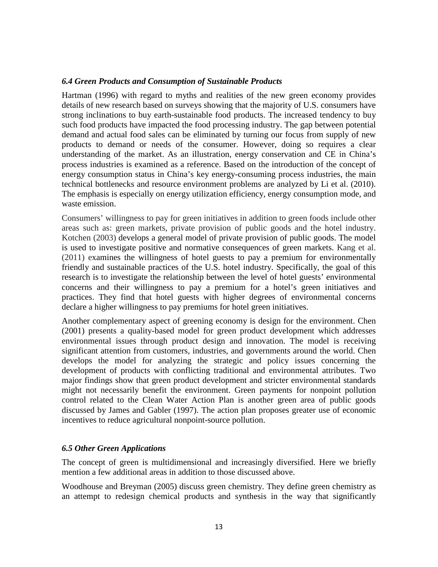#### *6.4 Green Products and Consumption of Sustainable Products*

Hartman (1996) with regard to myths and realities of the new green economy provides details of new research based on surveys showing that the majority of U.S. consumers have strong inclinations to buy earth-sustainable food products. The increased tendency to buy such food products have impacted the food processing industry. The gap between potential demand and actual food sales can be eliminated by turning our focus from supply of new products to demand or needs of the consumer. However, doing so requires a clear understanding of the market. As an illustration, energy conservation and CE in China's process industries is examined as a reference. Based on the introduction of the concept of energy consumption status in China's key energy-consuming process industries, the main technical bottlenecks and resource environment problems are analyzed by Li et al. (2010). The emphasis is especially on energy utilization efficiency, energy consumption mode, and waste emission.

Consumers' willingness to pay for green initiatives in addition to green foods include other areas such as: green markets, private provision of public goods and the hotel industry. Kotchen (2003) develops a general model of private provision of public goods. The model is used to investigate positive and normative consequences of green markets. Kang et al. (2011) examines the willingness of hotel guests to pay a premium for environmentally friendly and sustainable practices of the U.S. hotel industry. Specifically, the goal of this research is to investigate the relationship between the level of hotel guests' environmental concerns and their willingness to pay a premium for a hotel's green initiatives and practices. They find that hotel guests with higher degrees of environmental concerns declare a higher willingness to pay premiums for hotel green initiatives.

Another complementary aspect of greening economy is design for the environment. Chen (2001) presents a quality-based model for green product development which addresses environmental issues through product design and innovation. The model is receiving significant attention from customers, industries, and governments around the world. Chen develops the model for analyzing the strategic and policy issues concerning the development of products with conflicting traditional and environmental attributes. Two major findings show that green product development and stricter environmental standards might not necessarily benefit the environment. Green payments for nonpoint pollution control related to the Clean Water Action Plan is another green area of public goods discussed by James and Gabler (1997). The action plan proposes greater use of economic incentives to reduce agricultural nonpoint-source pollution.

#### *6.5 Other Green Applications*

The concept of green is multidimensional and increasingly diversified. Here we briefly mention a few additional areas in addition to those discussed above.

Woodhouse and Breyman (2005) discuss green chemistry. They define green chemistry as an attempt to redesign chemical products and synthesis in the way that significantly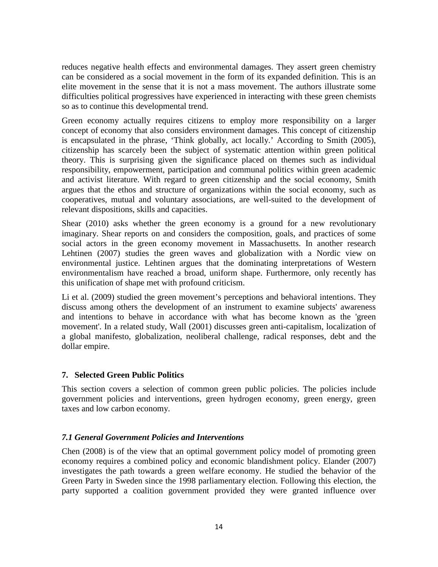reduces negative health effects and environmental damages. They assert green chemistry can be considered as a social movement in the form of its expanded definition. This is an elite movement in the sense that it is not a mass movement. The authors illustrate some difficulties political progressives have experienced in interacting with these green chemists so as to continue this developmental trend.

Green economy actually requires citizens to employ more responsibility on a larger concept of economy that also considers environment damages. This concept of citizenship is encapsulated in the phrase, 'Think globally, act locally.' According to Smith (2005), citizenship has scarcely been the subject of systematic attention within green political theory. This is surprising given the significance placed on themes such as individual responsibility, empowerment, participation and communal politics within green academic and activist literature. With regard to green citizenship and the social economy, Smith argues that the ethos and structure of organizations within the social economy, such as cooperatives, mutual and voluntary associations, are well-suited to the development of relevant dispositions, skills and capacities.

Shear (2010) asks whether the green economy is a ground for a new revolutionary imaginary. Shear reports on and considers the composition, goals, and practices of some social actors in the green economy movement in Massachusetts. In another research Lehtinen (2007) studies the green waves and globalization with a Nordic view on environmental justice. Lehtinen argues that the dominating interpretations of Western environmentalism have reached a broad, uniform shape. Furthermore, only recently has this unification of shape met with profound criticism.

Li et al. (2009) studied the green movement's perceptions and behavioral intentions. They discuss among others the development of an instrument to examine subjects' awareness and intentions to behave in accordance with what has become known as the 'green movement'. In a related study, Wall (2001) discusses green anti-capitalism, localization of a global manifesto, globalization, neoliberal challenge, radical responses, debt and the dollar empire.

#### **7. Selected Green Public Politics**

This section covers a selection of common green public policies. The policies include government policies and interventions, green hydrogen economy, green energy, green taxes and low carbon economy.

#### *7.1 General Government Policies and Interventions*

Chen (2008) is of the view that an optimal government policy model of promoting green economy requires a combined policy and economic blandishment policy. Elander (2007) investigates the path towards a green welfare economy. He studied the behavior of the Green Party in Sweden since the 1998 parliamentary election. Following this election, the party supported a coalition government provided they were granted influence over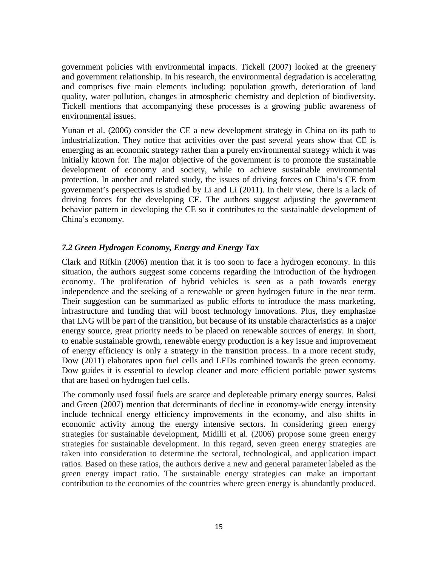government policies with environmental impacts. Tickell (2007) looked at the greenery and government relationship. In his research, the environmental degradation is accelerating and comprises five main elements including: population growth, deterioration of land quality, water pollution, changes in atmospheric chemistry and depletion of biodiversity. Tickell mentions that accompanying these processes is a growing public awareness of environmental issues.

Yunan et al. (2006) consider the CE a new development strategy in China on its path to industrialization. They notice that activities over the past several years show that CE is emerging as an economic strategy rather than a purely environmental strategy which it was initially known for. The major objective of the government is to promote the sustainable development of economy and society, while to achieve sustainable environmental protection. In another and related study, the issues of driving forces on China's CE from government's perspectives is studied by Li and Li (2011). In their view, there is a lack of driving forces for the developing CE. The authors suggest adjusting the government behavior pattern in developing the CE so it contributes to the sustainable development of China's economy.

#### *7.2 Green Hydrogen Economy, Energy and Energy Tax*

Clark and Rifkin (2006) mention that it is too soon to face a hydrogen economy. In this situation, the authors suggest some concerns regarding the introduction of the hydrogen economy. The proliferation of hybrid vehicles is seen as a path towards energy independence and the seeking of a renewable or green hydrogen future in the near term. Their suggestion can be summarized as public efforts to introduce the mass marketing, infrastructure and funding that will boost technology innovations. Plus, they emphasize that LNG will be part of the transition, but because of its unstable characteristics as a major energy source, great priority needs to be placed on renewable sources of energy. In short, to enable sustainable growth, renewable energy production is a key issue and improvement of energy efficiency is only a strategy in the transition process. In a more recent study, Dow (2011) elaborates upon fuel cells and LEDs combined towards the green economy. Dow guides it is essential to develop cleaner and more efficient portable power systems that are based on hydrogen fuel cells.

The commonly used fossil fuels are scarce and depleteable primary energy sources. Baksi and Green (2007) mention that determinants of decline in economy-wide energy intensity include technical energy efficiency improvements in the economy, and also shifts in economic activity among the energy intensive sectors. In considering green energy strategies for sustainable development, Midilli et al. (2006) propose some green energy strategies for sustainable development. In this regard, seven green energy strategies are taken into consideration to determine the sectoral, technological, and application impact ratios. Based on these ratios, the authors derive a new and general parameter labeled as the green energy impact ratio. The sustainable energy strategies can make an important contribution to the economies of the countries where green energy is abundantly produced.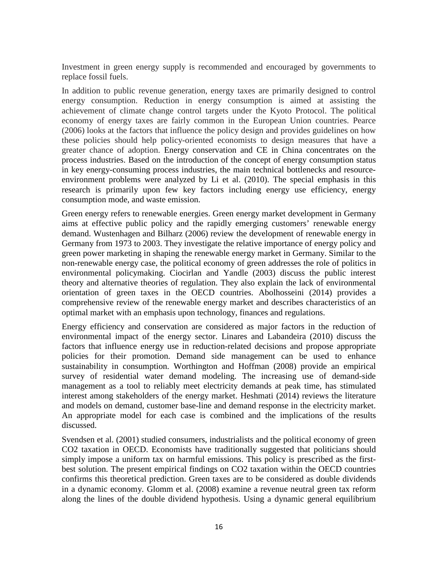Investment in green energy supply is recommended and encouraged by governments to replace fossil fuels.

In addition to public revenue generation, energy taxes are primarily designed to control energy consumption. Reduction in energy consumption is aimed at assisting the achievement of climate change control targets under the Kyoto Protocol. The political economy of energy taxes are fairly common in the European Union countries. Pearce (2006) looks at the factors that influence the policy design and provides guidelines on how these policies should help policy-oriented economists to design measures that have a greater chance of adoption. Energy conservation and CE in China concentrates on the process industries. Based on the introduction of the concept of energy consumption status in key energy-consuming process industries, the main technical bottlenecks and resourceenvironment problems were analyzed by Li et al. (2010). The special emphasis in this research is primarily upon few key factors including energy use efficiency, energy consumption mode, and waste emission.

Green energy refers to renewable energies. Green energy market development in Germany aims at effective public policy and the rapidly emerging customers' renewable energy demand. Wustenhagen and Bilharz (2006) review the development of renewable energy in Germany from 1973 to 2003. They investigate the relative importance of energy policy and green power marketing in shaping the renewable energy market in Germany. Similar to the non-renewable energy case, the political economy of green addresses the role of politics in environmental policymaking. Ciocirlan and Yandle (2003) discuss the public interest theory and alternative theories of regulation. They also explain the lack of environmental orientation of green taxes in the OECD countries. Abolhosseini (2014) provides a comprehensive review of the renewable energy market and describes characteristics of an optimal market with an emphasis upon technology, finances and regulations.

Energy efficiency and conservation are considered as major factors in the reduction of environmental impact of the energy sector. Linares and Labandeira (2010) discuss the factors that influence energy use in reduction-related decisions and propose appropriate policies for their promotion. Demand side management can be used to enhance sustainability in consumption. Worthington and Hoffman (2008) provide an empirical survey of residential water demand modeling. The increasing use of demand-side management as a tool to reliably meet electricity demands at peak time, has stimulated interest among stakeholders of the energy market. Heshmati (2014) reviews the literature and models on demand, customer base-line and demand response in the electricity market. An appropriate model for each case is combined and the implications of the results discussed.

Svendsen et al. (2001) studied consumers, industrialists and the political economy of green CO2 taxation in OECD. Economists have traditionally suggested that politicians should simply impose a uniform tax on harmful emissions. This policy is prescribed as the firstbest solution. The present empirical findings on CO2 taxation within the OECD countries confirms this theoretical prediction. Green taxes are to be considered as double dividends in a dynamic economy. Glomm et al. (2008) examine a revenue neutral green tax reform along the lines of the double dividend hypothesis. Using a dynamic general equilibrium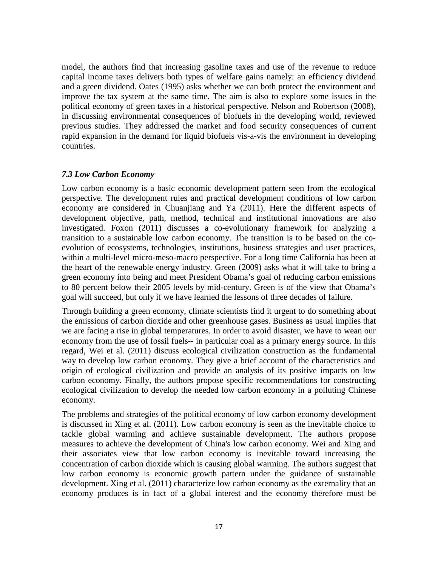model, the authors find that increasing gasoline taxes and use of the revenue to reduce capital income taxes delivers both types of welfare gains namely: an efficiency dividend and a green dividend. Oates (1995) asks whether we can both protect the environment and improve the tax system at the same time. The aim is also to explore some issues in the political economy of green taxes in a historical perspective. Nelson and Robertson (2008), in discussing environmental consequences of biofuels in the developing world, reviewed previous studies. They addressed the market and food security consequences of current rapid expansion in the demand for liquid biofuels vis-a-vis the environment in developing countries.

#### *7.3 Low Carbon Economy*

Low carbon economy is a basic economic development pattern seen from the ecological perspective. The development rules and practical development conditions of low carbon economy are considered in Chuanjiang and Ya (2011). Here the different aspects of development objective, path, method, technical and institutional innovations are also investigated. Foxon (2011) discusses a co-evolutionary framework for analyzing a transition to a sustainable low carbon economy. The transition is to be based on the coevolution of ecosystems, technologies, institutions, business strategies and user practices, within a multi-level micro-meso-macro perspective. For a long time California has been at the heart of the renewable energy industry. Green (2009) asks what it will take to bring a green economy into being and meet President Obama's goal of reducing carbon emissions to 80 percent below their 2005 levels by mid-century. Green is of the view that Obama's goal will succeed, but only if we have learned the lessons of three decades of failure.

Through building a green economy, climate scientists find it urgent to do something about the emissions of carbon dioxide and other greenhouse gases. Business as usual implies that we are facing a rise in global temperatures. In order to avoid disaster, we have to wean our economy from the use of fossil fuels-- in particular coal as a primary energy source. In this regard, Wei et al. (2011) discuss ecological civilization construction as the fundamental way to develop low carbon economy. They give a brief account of the characteristics and origin of ecological civilization and provide an analysis of its positive impacts on low carbon economy. Finally, the authors propose specific recommendations for constructing ecological civilization to develop the needed low carbon economy in a polluting Chinese economy.

The problems and strategies of the political economy of low carbon economy development is discussed in Xing et al. (2011). Low carbon economy is seen as the inevitable choice to tackle global warming and achieve sustainable development. The authors propose measures to achieve the development of China's low carbon economy. Wei and Xing and their associates view that low carbon economy is inevitable toward increasing the concentration of carbon dioxide which is causing global warming. The authors suggest that low carbon economy is economic growth pattern under the guidance of sustainable development. Xing et al. (2011) characterize low carbon economy as the externality that an economy produces is in fact of a global interest and the economy therefore must be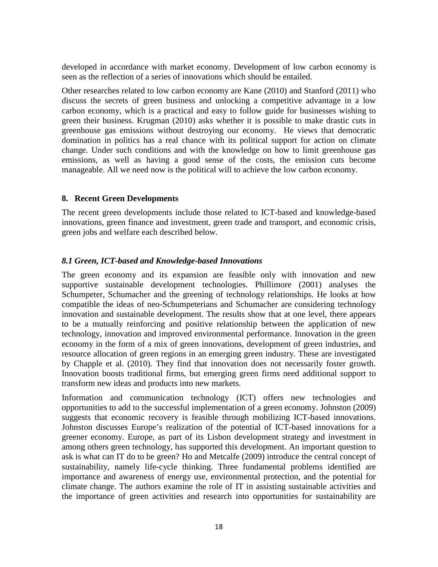developed in accordance with market economy. Development of low carbon economy is seen as the reflection of a series of innovations which should be entailed.

Other researches related to low carbon economy are Kane (2010) and Stanford (2011) who discuss the secrets of green business and unlocking a competitive advantage in a low carbon economy, which is a practical and easy to follow guide for businesses wishing to green their business. Krugman (2010) asks whether it is possible to make drastic cuts in greenhouse gas emissions without destroying our economy. He views that democratic domination in politics has a real chance with its political support for action on climate change. Under such conditions and with the knowledge on how to limit greenhouse gas emissions, as well as having a good sense of the costs, the emission cuts become manageable. All we need now is the political will to achieve the low carbon economy.

#### **8. Recent Green Developments**

The recent green developments include those related to ICT-based and knowledge-based innovations, green finance and investment, green trade and transport, and economic crisis, green jobs and welfare each described below.

#### *8.1 Green, ICT-based and Knowledge-based Innovations*

The green economy and its expansion are feasible only with innovation and new supportive sustainable development technologies. Phillimore (2001) analyses the Schumpeter, Schumacher and the greening of technology relationships. He looks at how compatible the ideas of neo-Schumpeterians and Schumacher are considering technology innovation and sustainable development. The results show that at one level, there appears to be a mutually reinforcing and positive relationship between the application of new technology, innovation and improved environmental performance. Innovation in the green economy in the form of a mix of green innovations, development of green industries, and resource allocation of green regions in an emerging green industry. These are investigated by Chapple et al. (2010). They find that innovation does not necessarily foster growth. Innovation boosts traditional firms, but emerging green firms need additional support to transform new ideas and products into new markets.

Information and communication technology (ICT) offers new technologies and opportunities to add to the successful implementation of a green economy. Johnston (2009) suggests that economic recovery is feasible through mobilizing ICT-based innovations. Johnston discusses Europe's realization of the potential of ICT-based innovations for a greener economy. Europe, as part of its Lisbon development strategy and investment in among others green technology, has supported this development. An important question to ask is what can IT do to be green? Ho and Metcalfe (2009) introduce the central concept of sustainability, namely life-cycle thinking. Three fundamental problems identified are importance and awareness of energy use, environmental protection, and the potential for climate change. The authors examine the role of IT in assisting sustainable activities and the importance of green activities and research into opportunities for sustainability are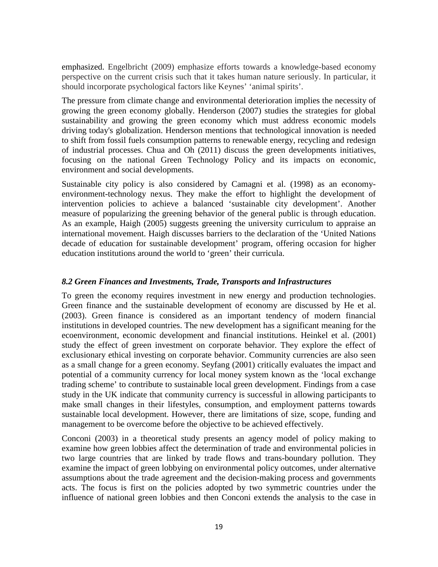emphasized. Engelbricht (2009) emphasize efforts towards a knowledge-based economy perspective on the current crisis such that it takes human nature seriously. In particular, it should incorporate psychological factors like Keynes' 'animal spirits'.

The pressure from climate change and environmental deterioration implies the necessity of growing the green economy globally. Henderson (2007) studies the strategies for global sustainability and growing the green economy which must address economic models driving today's globalization. Henderson mentions that technological innovation is needed to shift from fossil fuels consumption patterns to renewable energy, recycling and redesign of industrial processes. Chua and Oh (2011) discuss the green developments initiatives, focusing on the national Green Technology Policy and its impacts on economic, environment and social developments.

Sustainable city policy is also considered by Camagni et al. (1998) as an economyenvironment-technology nexus. They make the effort to highlight the development of intervention policies to achieve a balanced 'sustainable city development'. Another measure of popularizing the greening behavior of the general public is through education. As an example, Haigh (2005) suggests greening the university curriculum to appraise an international movement. Haigh discusses barriers to the declaration of the 'United Nations decade of education for sustainable development' program, offering occasion for higher education institutions around the world to 'green' their curricula.

#### *8.2 Green Finances and Investments, Trade, Transports and Infrastructures*

To green the economy requires investment in new energy and production technologies. Green finance and the sustainable development of economy are discussed by He et al. (2003). Green finance is considered as an important tendency of modern financial institutions in developed countries. The new development has a significant meaning for the ecoenvironment, economic development and financial institutions. Heinkel et al. (2001) study the effect of green investment on corporate behavior. They explore the effect of exclusionary ethical investing on corporate behavior. Community currencies are also seen as a small change for a green economy. Seyfang (2001) critically evaluates the impact and potential of a community currency for local money system known as the 'local exchange trading scheme' to contribute to sustainable local green development. Findings from a case study in the UK indicate that community currency is successful in allowing participants to make small changes in their lifestyles, consumption, and employment patterns towards sustainable local development. However, there are limitations of size, scope, funding and management to be overcome before the objective to be achieved effectively.

Conconi (2003) in a theoretical study presents an agency model of policy making to examine how green lobbies affect the determination of trade and environmental policies in two large countries that are linked by trade flows and trans-boundary pollution. They examine the impact of green lobbying on environmental policy outcomes, under alternative assumptions about the trade agreement and the decision-making process and governments acts. The focus is first on the policies adopted by two symmetric countries under the influence of national green lobbies and then Conconi extends the analysis to the case in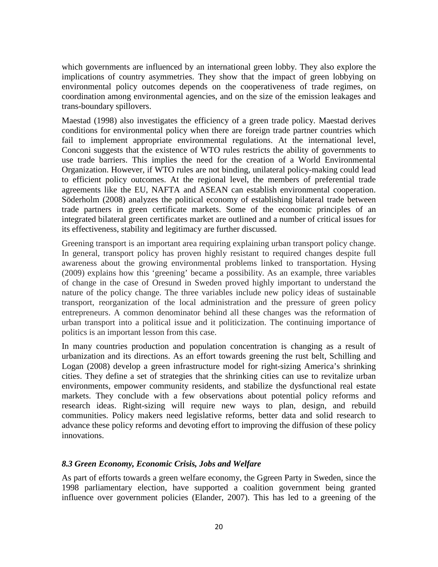which governments are influenced by an international green lobby. They also explore the implications of country asymmetries. They show that the impact of green lobbying on environmental policy outcomes depends on the cooperativeness of trade regimes, on coordination among environmental agencies, and on the size of the emission leakages and trans-boundary spillovers.

Maestad (1998) also investigates the efficiency of a green trade policy. Maestad derives conditions for environmental policy when there are foreign trade partner countries which fail to implement appropriate environmental regulations. At the international level, Conconi suggests that the existence of WTO rules restricts the ability of governments to use trade barriers. This implies the need for the creation of a World Environmental Organization. However, if WTO rules are not binding, unilateral policy-making could lead to efficient policy outcomes. At the regional level, the members of preferential trade agreements like the EU, NAFTA and ASEAN can establish environmental cooperation. Söderholm (2008) analyzes the political economy of establishing bilateral trade between trade partners in green certificate markets. Some of the economic principles of an integrated bilateral green certificates market are outlined and a number of critical issues for its effectiveness, stability and legitimacy are further discussed.

Greening transport is an important area requiring explaining urban transport policy change. In general, transport policy has proven highly resistant to required changes despite full awareness about the growing environmental problems linked to transportation. Hysing (2009) explains how this 'greening' became a possibility. As an example, three variables of change in the case of Oresund in Sweden proved highly important to understand the nature of the policy change. The three variables include new policy ideas of sustainable transport, reorganization of the local administration and the pressure of green policy entrepreneurs. A common denominator behind all these changes was the reformation of urban transport into a political issue and it politicization. The continuing importance of politics is an important lesson from this case.

In many countries production and population concentration is changing as a result of urbanization and its directions. As an effort towards greening the rust belt, Schilling and Logan (2008) develop a green infrastructure model for right-sizing America's shrinking cities. They define a set of strategies that the shrinking cities can use to revitalize urban environments, empower community residents, and stabilize the dysfunctional real estate markets. They conclude with a few observations about potential policy reforms and research ideas. Right-sizing will require new ways to plan, design, and rebuild communities. Policy makers need legislative reforms, better data and solid research to advance these policy reforms and devoting effort to improving the diffusion of these policy innovations.

#### *8.3 Green Economy, Economic Crisis, Jobs and Welfare*

As part of efforts towards a green welfare economy, the Ggreen Party in Sweden, since the 1998 parliamentary election, have supported a coalition government being granted influence over government policies (Elander, 2007). This has led to a greening of the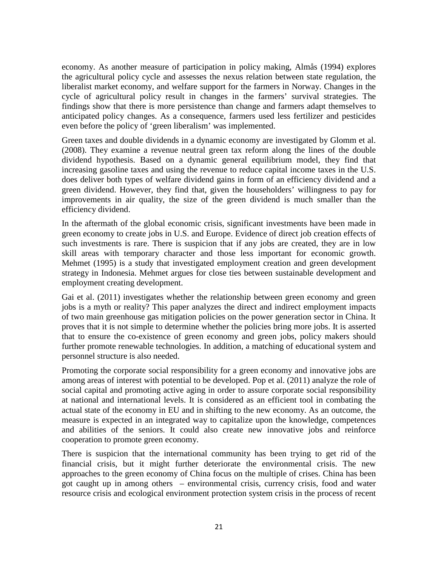economy. As another measure of participation in policy making, Almås (1994) explores the agricultural policy cycle and assesses the nexus relation between state regulation, the liberalist market economy, and welfare support for the farmers in Norway. Changes in the cycle of agricultural policy result in changes in the farmers' survival strategies. The findings show that there is more persistence than change and farmers adapt themselves to anticipated policy changes. As a consequence, farmers used less fertilizer and pesticides even before the policy of 'green liberalism' was implemented.

Green taxes and double dividends in a dynamic economy are investigated by Glomm et al. (2008). They examine a revenue neutral green tax reform along the lines of the double dividend hypothesis. Based on a dynamic general equilibrium model, they find that increasing gasoline taxes and using the revenue to reduce capital income taxes in the U.S. does deliver both types of welfare dividend gains in form of an efficiency dividend and a green dividend. However, they find that, given the householders' willingness to pay for improvements in air quality, the size of the green dividend is much smaller than the efficiency dividend.

In the aftermath of the global economic crisis, significant investments have been made in green economy to create jobs in U.S. and Europe. Evidence of direct job creation effects of such investments is rare. There is suspicion that if any jobs are created, they are in low skill areas with temporary character and those less important for economic growth. Mehmet (1995) is a study that investigated employment creation and green development strategy in Indonesia. Mehmet argues for close ties between sustainable development and employment creating development.

Gai et al. (2011) investigates whether the relationship between green economy and green jobs is a myth or reality? This paper analyzes the direct and indirect employment impacts of two main greenhouse gas mitigation policies on the power generation sector in China. It proves that it is not simple to determine whether the policies bring more jobs. It is asserted that to ensure the co-existence of green economy and green jobs, policy makers should further promote renewable technologies. In addition, a matching of educational system and personnel structure is also needed.

Promoting the corporate social responsibility for a green economy and innovative jobs are among areas of interest with potential to be developed. Pop et al. (2011) analyze the role of social capital and promoting active aging in order to assure corporate social responsibility at national and international levels. It is considered as an efficient tool in combating the actual state of the economy in EU and in shifting to the new economy. As an outcome, the measure is expected in an integrated way to capitalize upon the knowledge, competences and abilities of the seniors. It could also create new innovative jobs and reinforce cooperation to promote green economy.

There is suspicion that the international community has been trying to get rid of the financial crisis, but it might further deteriorate the environmental crisis. The new approaches to the green economy of China focus on the multiple of crises. China has been got caught up in among others – environmental crisis, currency crisis, food and water resource crisis and ecological environment protection system crisis in the process of recent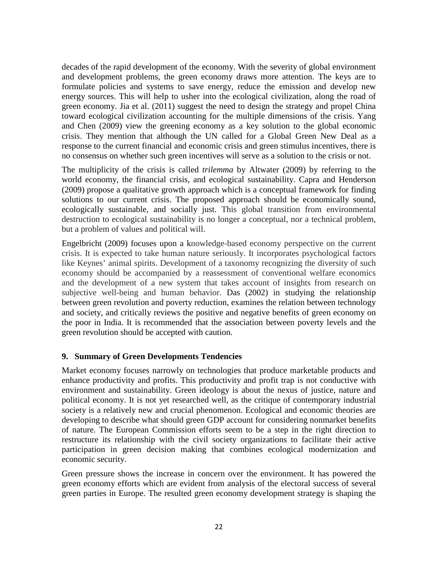decades of the rapid development of the economy. With the severity of global environment and development problems, the green economy draws more attention. The keys are to formulate policies and systems to save energy, reduce the emission and develop new energy sources. This will help to usher into the ecological civilization, along the road of green economy. Jia et al. (2011) suggest the need to design the strategy and propel China toward ecological civilization accounting for the multiple dimensions of the crisis. Yang and Chen (2009) view the greening economy as a key solution to the global economic crisis. They mention that although the UN called for a Global Green New Deal as a response to the current financial and economic crisis and green stimulus incentives, there is no consensus on whether such green incentives will serve as a solution to the crisis or not.

The multiplicity of the crisis is called *trilemma* by Altwater (2009) by referring to the world economy, the financial crisis, and ecological sustainability. Capra and Henderson (2009) propose a qualitative growth approach which is a conceptual framework for finding solutions to our current crisis. The proposed approach should be economically sound, ecologically sustainable, and socially just. This global transition from environmental destruction to ecological sustainability is no longer a conceptual, nor a technical problem, but a problem of values and political will.

Engelbricht (2009) focuses upon a knowledge-based economy perspective on the current crisis. It is expected to take human nature seriously. It incorporates psychological factors like Keynes' animal spirits. Development of a taxonomy recognizing the diversity of such economy should be accompanied by a reassessment of conventional welfare economics and the development of a new system that takes account of insights from research on subjective well-being and human behavior. Das (2002) in studying the relationship between green revolution and poverty reduction, examines the relation between technology and society, and critically reviews the positive and negative benefits of green economy on the poor in India. It is recommended that the association between poverty levels and the green revolution should be accepted with caution.

#### **9. Summary of Green Developments Tendencies**

Market economy focuses narrowly on technologies that produce marketable products and enhance productivity and profits. This productivity and profit trap is not conductive with environment and sustainability. Green ideology is about the nexus of justice, nature and political economy. It is not yet researched well, as the critique of contemporary industrial society is a relatively new and crucial phenomenon. Ecological and economic theories are developing to describe what should green GDP account for considering nonmarket benefits of nature. The European Commission efforts seem to be a step in the right direction to restructure its relationship with the civil society organizations to facilitate their active participation in green decision making that combines ecological modernization and economic security.

Green pressure shows the increase in concern over the environment. It has powered the green economy efforts which are evident from analysis of the electoral success of several green parties in Europe. The resulted green economy development strategy is shaping the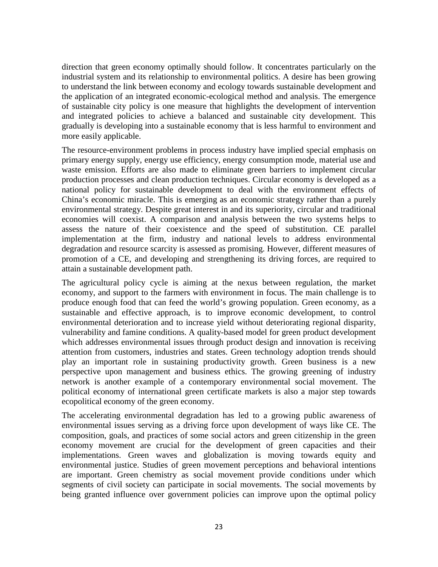direction that green economy optimally should follow. It concentrates particularly on the industrial system and its relationship to environmental politics. A desire has been growing to understand the link between economy and ecology towards sustainable development and the application of an integrated economic-ecological method and analysis. The emergence of sustainable city policy is one measure that highlights the development of intervention and integrated policies to achieve a balanced and sustainable city development. This gradually is developing into a sustainable economy that is less harmful to environment and more easily applicable.

The resource-environment problems in process industry have implied special emphasis on primary energy supply, energy use efficiency, energy consumption mode, material use and waste emission. Efforts are also made to eliminate green barriers to implement circular production processes and clean production techniques. Circular economy is developed as a national policy for sustainable development to deal with the environment effects of China's economic miracle. This is emerging as an economic strategy rather than a purely environmental strategy. Despite great interest in and its superiority, circular and traditional economies will coexist. A comparison and analysis between the two systems helps to assess the nature of their coexistence and the speed of substitution. CE parallel implementation at the firm, industry and national levels to address environmental degradation and resource scarcity is assessed as promising. However, different measures of promotion of a CE, and developing and strengthening its driving forces, are required to attain a sustainable development path.

The agricultural policy cycle is aiming at the nexus between regulation, the market economy, and support to the farmers with environment in focus. The main challenge is to produce enough food that can feed the world's growing population. Green economy, as a sustainable and effective approach, is to improve economic development, to control environmental deterioration and to increase yield without deteriorating regional disparity, vulnerability and famine conditions. A quality-based model for green product development which addresses environmental issues through product design and innovation is receiving attention from customers, industries and states. Green technology adoption trends should play an important role in sustaining productivity growth. Green business is a new perspective upon management and business ethics. The growing greening of industry network is another example of a contemporary environmental social movement. The political economy of international green certificate markets is also a major step towards ecopolitical economy of the green economy.

The accelerating environmental degradation has led to a growing public awareness of environmental issues serving as a driving force upon development of ways like CE. The composition, goals, and practices of some social actors and green citizenship in the green economy movement are crucial for the development of green capacities and their implementations. Green waves and globalization is moving towards equity and environmental justice. Studies of green movement perceptions and behavioral intentions are important. Green chemistry as social movement provide conditions under which segments of civil society can participate in social movements. The social movements by being granted influence over government policies can improve upon the optimal policy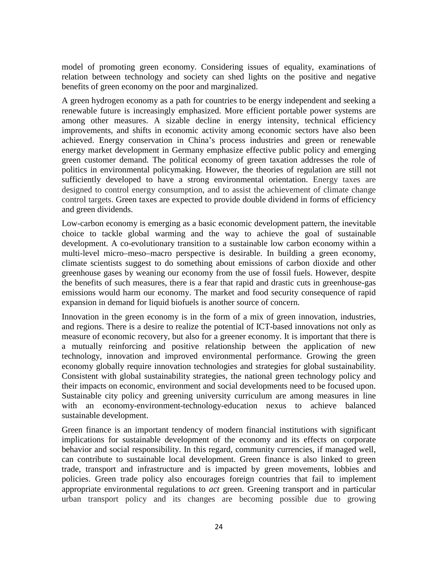model of promoting green economy. Considering issues of equality, examinations of relation between technology and society can shed lights on the positive and negative benefits of green economy on the poor and marginalized.

A green hydrogen economy as a path for countries to be energy independent and seeking a renewable future is increasingly emphasized. More efficient portable power systems are among other measures. A sizable decline in energy intensity, technical efficiency improvements, and shifts in economic activity among economic sectors have also been achieved. Energy conservation in China's process industries and green or renewable energy market development in Germany emphasize effective public policy and emerging green customer demand. The political economy of green taxation addresses the role of politics in environmental policymaking. However, the theories of regulation are still not sufficiently developed to have a strong environmental orientation. Energy taxes are designed to control energy consumption, and to assist the achievement of climate change control targets. Green taxes are expected to provide double dividend in forms of efficiency and green dividends.

Low-carbon economy is emerging as a basic economic development pattern, the inevitable choice to tackle global warming and the way to achieve the goal of sustainable development. A co-evolutionary transition to a sustainable low carbon economy within a multi-level micro–meso–macro perspective is desirable. In building a green economy, climate scientists suggest to do something about emissions of carbon dioxide and other greenhouse gases by weaning our economy from the use of fossil fuels. However, despite the benefits of such measures, there is a fear that rapid and drastic cuts in greenhouse-gas emissions would harm our economy. The market and food security consequence of rapid expansion in demand for liquid biofuels is another source of concern.

Innovation in the green economy is in the form of a mix of green innovation, industries, and regions. There is a desire to realize the potential of ICT-based innovations not only as measure of economic recovery, but also for a greener economy. It is important that there is a mutually reinforcing and positive relationship between the application of new technology, innovation and improved environmental performance. Growing the green economy globally require innovation technologies and strategies for global sustainability. Consistent with global sustainability strategies, the national green technology policy and their impacts on economic, environment and social developments need to be focused upon. Sustainable city policy and greening university curriculum are among measures in line with an economy-environment-technology-education nexus to achieve balanced sustainable development.

Green finance is an important tendency of modern financial institutions with significant implications for sustainable development of the economy and its effects on corporate behavior and social responsibility. In this regard, community currencies, if managed well, can contribute to sustainable local development. Green finance is also linked to green trade, transport and infrastructure and is impacted by green movements, lobbies and policies. Green trade policy also encourages foreign countries that fail to implement appropriate environmental regulations to *act* green. Greening transport and in particular urban transport policy and its changes are becoming possible due to growing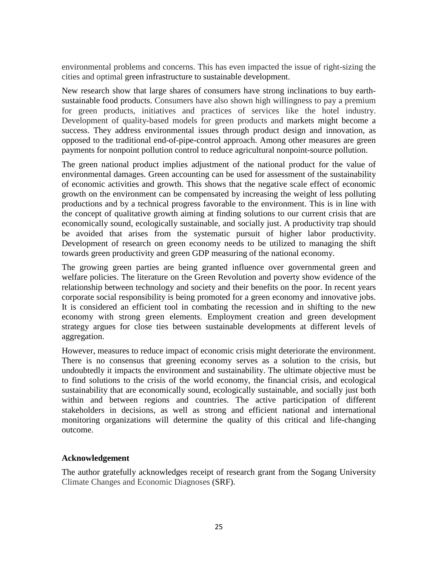environmental problems and concerns. This has even impacted the issue of right-sizing the cities and optimal green infrastructure to sustainable development.

New research show that large shares of consumers have strong inclinations to buy earthsustainable food products. Consumers have also shown high willingness to pay a premium for green products, initiatives and practices of services like the hotel industry. Development of quality-based models for green products and markets might become a success. They address environmental issues through product design and innovation, as opposed to the traditional end-of-pipe-control approach. Among other measures are green payments for nonpoint pollution control to reduce agricultural nonpoint-source pollution.

The green national product implies adjustment of the national product for the value of environmental damages. Green accounting can be used for assessment of the sustainability of economic activities and growth. This shows that the negative scale effect of economic growth on the environment can be compensated by increasing the weight of less polluting productions and by a technical progress favorable to the environment. This is in line with the concept of qualitative growth aiming at finding solutions to our current crisis that are economically sound, ecologically sustainable, and socially just. A productivity trap should be avoided that arises from the systematic pursuit of higher labor productivity. Development of research on green economy needs to be utilized to managing the shift towards green productivity and green GDP measuring of the national economy.

The growing green parties are being granted influence over governmental green and welfare policies. The literature on the Green Revolution and poverty show evidence of the relationship between technology and society and their benefits on the poor. In recent years corporate social responsibility is being promoted for a green economy and innovative jobs. It is considered an efficient tool in combating the recession and in shifting to the new economy with strong green elements. Employment creation and green development strategy argues for close ties between sustainable developments at different levels of aggregation.

However, measures to reduce impact of economic crisis might deteriorate the environment. There is no consensus that greening economy serves as a solution to the crisis, but undoubtedly it impacts the environment and sustainability. The ultimate objective must be to find solutions to the crisis of the world economy, the financial crisis, and ecological sustainability that are economically sound, ecologically sustainable, and socially just both within and between regions and countries. The active participation of different stakeholders in decisions, as well as strong and efficient national and international monitoring organizations will determine the quality of this critical and life-changing outcome.

#### **Acknowledgement**

The author gratefully acknowledges receipt of research grant from the Sogang University Climate Changes and Economic Diagnoses (SRF).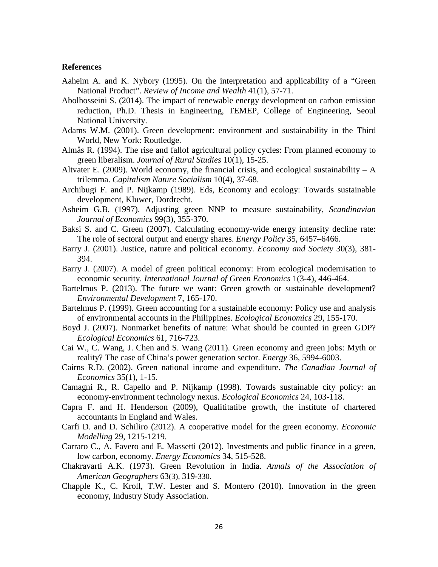#### **References**

- Aaheim A. and K. Nybory (1995). On the interpretation and applicability of a "Green National Product". *Review of Income and Wealth* 41(1), 57-71.
- Abolhosseini S. (2014). The impact of renewable energy development on carbon emission reduction, Ph.D. Thesis in Engineering, TEMEP, College of Engineering, Seoul National University.
- Adams W.M. (2001). Green development: environment and sustainability in the Third World, New York: Routledge.
- Almås R. (1994). The rise and fallof agricultural policy cycles: From planned economy to green liberalism. *Journal of Rural Studies* 10(1), 15-25.
- Altvater E. (2009). World economy, the financial crisis, and ecological sustainability  $A$ trilemma. *Capitalism Nature Socialism* 10(4), 37-68.
- Archibugi F. and P. Nijkamp (1989). Eds, Economy and ecology: Towards sustainable development, Kluwer, Dordrecht.
- Asheim G.B. (1997). Adjusting green NNP to measure sustainability, *Scandinavian Journal of Economics* 99(3), 355-370.
- Baksi S. and C. Green (2007). Calculating economy-wide energy intensity decline rate: The role of sectoral output and energy shares. *Energy Policy* 35, 6457–6466.
- Barry J. (2001). Justice, nature and political economy. *Economy and Society* 30(3), 381- 394.
- Barry J. (2007). A model of green political economy: From ecological modernisation to economic security. *International Journal of Green Economics* 1(3-4), 446-464.
- Bartelmus P. (2013). The future we want: Green growth or sustainable development? *Environmental Development* 7, 165-170.
- Bartelmus P. (1999). Green accounting for a sustainable economy: Policy use and analysis of environmental accounts in the Philippines. *Ecological Economics* 29, 155-170.
- Boyd J. (2007). Nonmarket benefits of nature: What should be counted in green GDP? *Ecological Economics* 61, 716-723.
- Cai W., C. Wang, J. Chen and S. Wang (2011). Green economy and green jobs: Myth or reality? The case of China's power generation sector. *Energy* 36, 5994-6003.
- Cairns R.D. (2002). Green national income and expenditure. *The Canadian Journal of Economics* 35(1), 1-15.
- Camagni R., R. Capello and P. Nijkamp (1998). Towards sustainable city policy: an economy-environment technology nexus. *Ecological Economics* 24, 103-118.
- Capra F. and H. Henderson (2009), Qualititatibe growth, the institute of chartered accountants in England and Wales.
- Carfi D. and D. Schiliro (2012). A cooperative model for the green economy. *Economic Modelling* 29, 1215-1219.
- Carraro C., A. Favero and E. Massetti (2012). Investments and public finance in a green, low carbon, economy. *Energy Economics* 34, 515-528.
- Chakravarti A.K. (1973). Green Revolution in India. *Annals of the Association of American Geographers* 63(3), 319-330.
- Chapple K., C. Kroll, T.W. Lester and S. Montero (2010). Innovation in the green economy, Industry Study Association.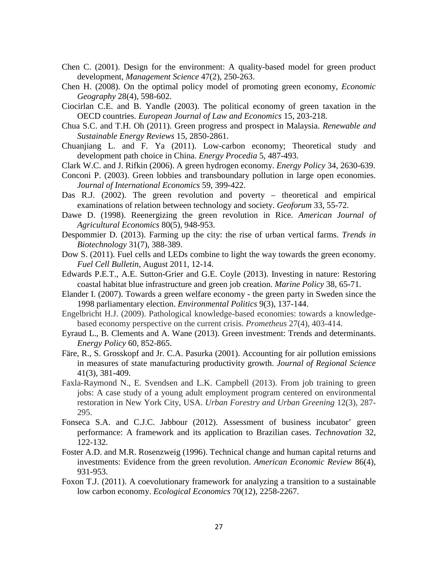- Chen C. (2001). Design for the environment: A quality-based model for green product development, *Management Science* 47(2), 250-263.
- Chen H. (2008). On the optimal policy model of promoting green economy, *Economic Geography* 28(4), 598-602.
- Ciocirlan C.E. and B. Yandle (2003). The political economy of green taxation in the OECD countries. *European Journal of Law and Economics* 15, 203-218.
- Chua S.C. and T.H. Oh (2011). Green progress and prospect in Malaysia. *Renewable and Sustainable Energy Reviews* 15, 2850-2861.
- Chuanjiang L. and F. Ya (2011). Low-carbon economy; Theoretical study and development path choice in China. *Energy Procedia* 5, 487-493.
- Clark W.C. and J. Rifkin (2006). A green hydrogen economy. *Energy Policy* 34, 2630-639.
- Conconi P. (2003). Green lobbies and transboundary pollution in large open economies. *Journal of International Economics* 59, 399-422.
- Das R.J. (2002). The green revolution and poverty theoretical and empirical examinations of relation between technology and society. *Geoforum* 33, 55-72.
- Dawe D. (1998). Reenergizing the green revolution in Rice. *American Journal of Agricultural Economics* 80(5), 948-953.
- Despommier D. (2013). Farming [up the city: the rise of urban vertical farms.](http://www.sciencedirect.com/science/article/pii/S016777991300070X) *Trends in Biotechnology* 31(7), 388-389.
- Dow S. (2011). Fuel cells and LEDs combine to light the way towards the green economy. *Fuel Cell Bulletin*, August 2011, 12-14.
- Edwards P.E.T., A.E. Sutton-Grier and G.E. Coyle (2013). Investing in nature: Restoring coastal habitat blue infrastructure and green job creation. *Marine Policy* 38, 65-71.
- Elander I. (2007). Towards a green welfare economy the green party in Sweden since the 1998 parliamentary election. *Environmental Politics* 9(3), 137-144.
- Engelbricht H.J. (2009). Pathological knowledge-based economies: towards a knowledgebased economy perspective on the current crisis. *Prometheus* 27(4), 403-414.
- Eyraud L., B. Clements and A. Wane (2013). Green investment: Trends and determinants. *Energy Policy* 60, 852-865.
- Färe, R., S. Grosskopf and Jr. C.A. Pasurka (2001). Accounting for air pollution emissions in measures of state manufacturing productivity growth. *Journal of Regional Science* 41(3), 381-409.
- Faxla-Raymond N., E. Svendsen and L.K. Campbell (2013). From job training to green jobs: A case study of a young adult employment program centered on environmental restoration in New York City, USA. *Urban Forestry and Urban Greening* 12(3), 287- 295.
- Fonseca S.A. and C.J.C. Jabbour (2012). Assessment of business incubator' green performance: A framework and its application to Brazilian cases. *Technovation* 32, 122-132.
- Foster A.D. and M.R. Rosenzweig (1996). Technical change and human capital returns and investments: Evidence from the green revolution. *American Economic Review* 86(4), 931-953.
- Foxon T.J. (2011). A coevolutionary framework for analyzing a transition to a sustainable low carbon economy. *Ecological Economics* 70(12), 2258-2267.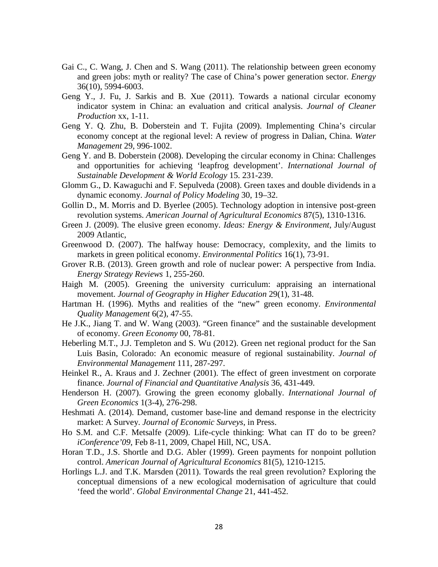- Gai C., C. Wang, J. Chen and S. Wang (2011). The relationship between green economy and green jobs: myth or reality? The case of China's power generation sector. *Energy* 36(10), 5994-6003.
- Geng Y., J. Fu, J. Sarkis and B. Xue (2011). Towards a national circular economy indicator system in China: an evaluation and critical analysis. *Journal of Cleaner Production* xx, 1-11.
- Geng Y. Q. Zhu, B. Doberstein and T. Fujita (2009). Implementing China's circular economy concept at the regional level: A review of progress in Dalian, China. *Water Management* 29, 996-1002.
- Geng Y. and B. Doberstein (2008). Developing the circular economy in China: Challenges and opportunities for achieving 'leapfrog development'. *International Journal of Sustainable Development & World Ecology* 15. 231-239.
- Glomm G., D. Kawaguchi and F. Sepulveda (2008). Green taxes and double dividends in a dynamic economy. *Journal of Policy Modeling* 30, 19–32.
- Gollin D., M. Morris and D. Byerlee (2005). Technology adoption in intensive post-green revolution systems. *American Journal of Agricultural Economics* 87(5), 1310-1316.
- Green J. (2009). The elusive green economy. *Ideas: Energy & Environment*, July/August 2009 Atlantic,
- Greenwood D. (2007). The halfway house: Democracy, complexity, and the limits to markets in green political economy. *Environmental Politics* 16(1), 73-91.
- Grover R.B. (2013). Green growth and role of nuclear power: A perspective from India. *Energy Strategy Reviews* 1, 255-260.
- Haigh M. (2005). Greening the university curriculum: appraising an international movement. *Journal of Geography in Higher Education* 29(1), 31-48.
- Hartman H. (1996). Myths and realities of the "new" green economy. *Environmental Quality Management* 6(2), 47-55.
- He J.K., Jiang T. and W. Wang (2003). "Green finance" and the sustainable development of economy. *Green Economy* 00, 78-81.
- Heberling M.T., J.J. Templeton and S. Wu (2012). Green net regional product for the San Luis Basin, Colorado: An economic measure of regional sustainability. *Journal of Environmental Management* 111, 287-297.
- Heinkel R., A. Kraus and J. Zechner (2001). The effect of green investment on corporate finance. *Journal of Financial and Quantitative Analysis* 36, 431-449.
- Henderson H. (2007). Growing the green economy globally. *International Journal of Green Economics* 1(3-4), 276-298.
- Heshmati A. (2014). Demand, customer base-line and demand response in the electricity market: A Survey. *Journal of Economic Surveys*, in Press.
- Ho S.M. and C.F. Metsalfe (2009). Life-cycle thinking: What can IT do to be green? *iConference'09*, Feb 8-11, 2009, Chapel Hill, NC, USA.
- Horan T.D., J.S. Shortle and D.G. Abler (1999). Green payments for nonpoint pollution control. *American Journal of Agricultural Economics* 81(5), 1210-1215.
- Horlings L.J. and T.K. Marsden (2011). Towards the real green revolution? Exploring the conceptual dimensions of a new ecological modernisation of agriculture that could 'feed the world'. *Global Environmental Change* 21, 441-452.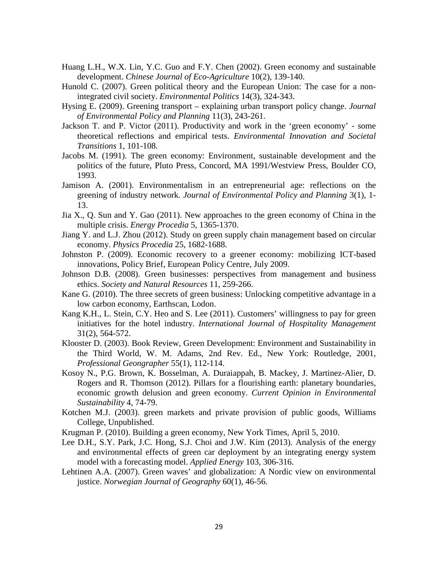- Huang L.H., W.X. Lin, Y.C. Guo and F.Y. Chen (2002). Green economy and sustainable development. *Chinese Journal of Eco-Agriculture* 10(2), 139-140.
- Hunold C. (2007). Green political theory and the European Union: The case for a nonintegrated civil society. *Environmental Politics* 14(3), 324-343.
- Hysing E. (2009). Greening transport explaining urban transport policy change. *Journal of Environmental Policy and Planning* 11(3), 243-261.
- Jackson T. and P. Victor (2011). Productivity and work in the 'green economy' some theoretical reflections and empirical tests. *Environmental Innovation and Societal Transitions* 1, 101-108.
- Jacobs M. (1991). The green economy: Environment, sustainable development and the politics of the future, Pluto Press, Concord, MA 1991/Westview Press, Boulder CO, 1993.
- Jamison A. (2001). Environmentalism in an entrepreneurial age: reflections on the greening of industry network. *Journal of Environmental Policy and Planning* 3(1), 1- 13.
- Jia X., Q. Sun and Y. Gao (2011). New approaches to the green economy of China in the multiple crisis. *Energy Procedia* 5, 1365-1370.
- Jiang Y. and L.J. Zhou (2012). Study on green supply chain management based on circular economy. *Physics Procedia* 25, 1682-1688.
- Johnston P. (2009). Economic recovery to a greener economy: mobilizing ICT-based innovations, Policy Brief, European Policy Centre, July 2009.
- Johnson D.B. (2008). Green businesses: perspectives from management and business ethics. *Society and Natural Resources* 11, 259-266.
- Kane G. (2010). The three secrets of green business: Unlocking competitive advantage in a low carbon economy, Earthscan, Lodon.
- Kang K.H., L. Stein, C.Y. Heo and S. Lee (2011). Customers' willingness to pay for green initiatives for the hotel industry. *International Journal of Hospitality Management* 31(2), 564-572.
- Klooster D. (2003). Book Review, Green Development: Environment and Sustainability in the Third World, W. M. Adams, 2nd Rev. Ed., New York: Routledge, 2001, *Professional Geongrapher* 55(1), 112-114.
- Kosoy N., P.G. Brown, K. Bosselman, A. Duraiappah, B. Mackey, J. Martinez-Alier, D. Rogers and R. Thomson (2012). Pillars for a flourishing earth: planetary boundaries, economic growth delusion and green economy. *Current Opinion in Environmental Sustainability* 4, 74-79.
- Kotchen M.J. (2003). green markets and private provision of public goods, Williams College, Unpublished.
- Krugman P. (2010). Building a green economy, New York Times, April 5, 2010.
- Lee D.H., S.Y. Park, J.C. Hong, S.J. Choi and J.W. Kim (2013). Analysis of the energy and environmental effects of green car deployment by an integrating energy system model with a forecasting model. *Applied Energy* 103, 306-316.
- Lehtinen A.A. (2007). Green waves' and globalization: A Nordic view on environmental justice. *Norwegian Journal of Geography* 60(1), 46-56.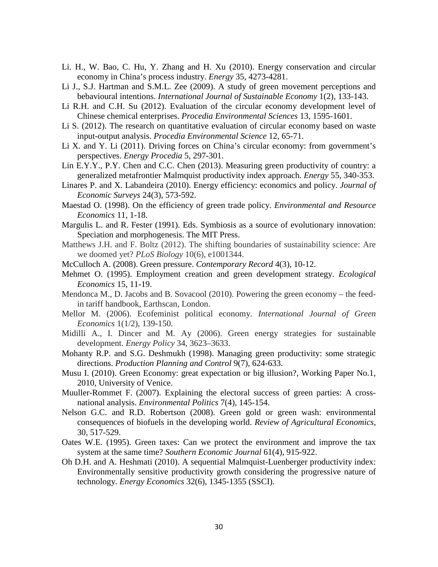- Li. H., W. Bao, C. Hu, Y. Zhang and H. Xu (2010). Energy conservation and circular economy in China's process industry. *Energy* 35, 4273-4281.
- Li J., S.J. Hartman and S.M.L. Zee (2009). A study of green movement perceptions and bebavioural intentions. *International Journal of Sustainable Economy* 1(2), 133-143.
- Li R.H. and C.H. Su (2012). Evaluation of the circular economy development level of Chinese chemical enterprises. *Procedia Environmental Sciences* 13, 1595-1601.
- Li S. (2012). The research on quantitative evaluation of circular economy based on waste input-output analysis. *Procedia Environmental Science* 12, 65-71.
- Li X. and Y. Li (2011). Driving forces on China's circular economy: from government's perspectives. *Energy Procedia* 5, 297-301.
- Lin E.Y.Y., P.Y. Chen and C.C. Chen (2013). Measuring green productivity of country: a generalized metafrontier Malmquist productivity index approach. *Energy* 55, 340-353.
- Linares P. and X. Labandeira (2010). Energy efficiency: economics and policy. *Journal of Economic Surveys* 24(3), 573-592.
- Maestad O. (1998). On the efficiency of green trade policy. *Environmental and Resource Economics* 11, 1-18.
- Margulis L. and R. Fester (1991). Eds. Symbiosis as a source of evolutionary innovation: Speciation and morphogenesis. The MIT Press.
- Matthews J.H. and F. Boltz (2012). The shifting boundaries of sustainability science: Are we doomed yet? *PLoS Biology* 10(6), e1001344.
- McCulloch A. (2008). Green pressure. *Contemporary Record* 4(3), 10-12.
- Mehmet O. (1995). Employment creation and green development strategy. *Ecological Economics* 15, 11-19.
- Mendonca M., D. Jacobs and B. Sovacool (2010). Powering the green economy the feedin tariff handbook, Earthscan, London.
- Mellor M. (2006). Ecofeminist political economy. *International Journal of Green Economics* 1(1/2), 139-150.
- Midilli A., I. Dincer and M. Ay (2006). Green energy strategies for sustainable development. *Energy Policy* 34, 3623–3633.
- Mohanty R.P. and S.G. Deshmukh (1998). Managing green productivity: some strategic directions. *Production Planning and Control* 9(7), 624-633.
- Musu I. (2010). Green Economy: great expectation or big illusion?, Working Paper No.1, 2010, University of Venice.
- Muuller-Rommet F. (2007). Explaining the electoral success of green parties: A crossnational analysis. *Environmental Politics* 7(4), 145-154.
- Nelson G.C. and R.D. Robertson (2008). Green gold or green wash: environmental consequences of biofuels in the developing world. *Review of Agricultural Economics*, 30, 517-529.
- Oates W.E. (1995). Green taxes: Can we protect the environment and improve the tax system at the same time? *Southern Economic Journal* 61(4), 915-922.
- Oh D.H. and A. Heshmati (2010). A sequential Malmquist-Luenberger productivity index: Environmentally sensitive productivity growth considering the progressive nature of technology. *Energy Economics* 32(6), 1345-1355 (SSCI).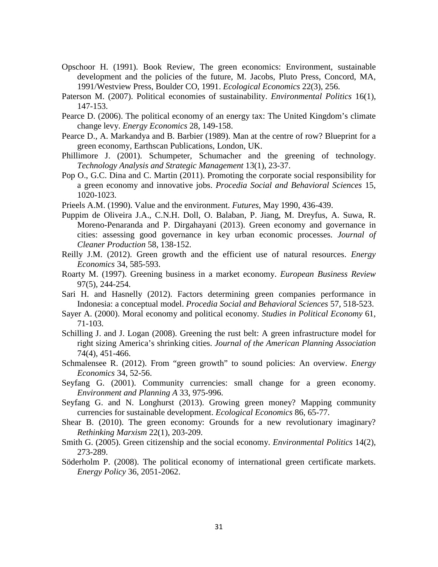- Opschoor H. (1991). Book Review, The green economics: Environment, sustainable development and the policies of the future, M. Jacobs, Pluto Press, Concord, MA, 1991/Westview Press, Boulder CO, 1991. *Ecological Economics* 22(3), 256.
- Paterson M. (2007). Political economies of sustainability. *Environmental Politics* 16(1), 147-153.
- Pearce D. (2006). The political economy of an energy tax: The United Kingdom's climate change levy. *Energy Economics* 28, 149-158.
- Pearce D., A. Markandya and B. Barbier (1989). Man at the centre of row? Blueprint for a green economy, Earthscan Publications, London, UK.
- Phillimore J. (2001). Schumpeter, Schumacher and the greening of technology. *Technology Analysis and Strategic Management* 13(1), 23-37.
- Pop O., G.C. Dina and C. Martin (2011). Promoting the corporate social responsibility for a green economy and innovative jobs. *Procedia Social and Behavioral Sciences* 15, 1020-1023.
- Prieels A.M. (1990). Value and the environment. *Futures*, May 1990, 436-439.
- Puppim de Oliveira J.A., C.N.H. Doll, O. Balaban, P. Jiang, M. Dreyfus, A. Suwa, R. Moreno-Penaranda and P. Dirgahayani (2013). Green economy and governance in cities: assessing good governance in key urban economic processes. *Journal of Cleaner Production* 58, 138-152.
- Reilly J.M. (2012). Green growth and the efficient use of natural resources. *Energy Economics* 34, 585-593.
- Roarty M. (1997). Greening business in a market economy. *European Business Review* 97(5), 244-254.
- Sari H. and Hasnelly (2012). Factors determining green companies performance in Indonesia: a conceptual model. *Procedia Social and Behavioral Sciences* 57, 518-523.
- Sayer A. (2000). Moral economy and political economy. *Studies in Political Economy* 61, 71-103.
- Schilling J. and J. Logan (2008). Greening the rust belt: A green infrastructure model for right sizing America's shrinking cities. *Journal of the American Planning Association* 74(4), 451-466.
- Schmalensee R. (2012). From "green growth" to sound policies: An overview. *Energy Economics* 34, 52-56.
- Seyfang G. (2001). Community currencies: small change for a green economy. *Environment and Planning A* 33, 975-996.
- Seyfang G. and N. Longhurst (2013). Growing green money? Mapping community currencies for sustainable development. *Ecological Economics* 86, 65-77.
- Shear B. (2010). The green economy: Grounds for a new revolutionary imaginary? *Rethinking Marxism* 22(1), 203-209.
- Smith G. (2005). Green citizenship and the social economy. *Environmental Politics* 14(2), 273-289.
- Söderholm P. (2008). The political economy of international green certificate markets. *Energy Policy* 36, 2051-2062.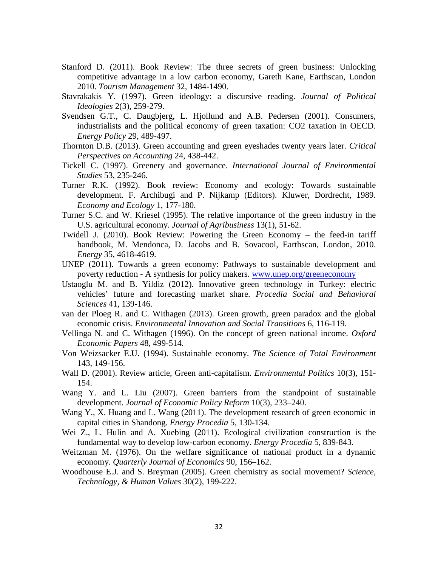- Stanford D. (2011). Book Review: The three secrets of green business: Unlocking competitive advantage in a low carbon economy, Gareth Kane, Earthscan, London 2010. *Tourism Management* 32, 1484-1490.
- Stavrakakis Y. (1997). Green ideology: a discursive reading. *Journal of Political Ideologies* 2(3), 259-279.
- Svendsen G.T., C. Daugbjerg, L. Hjollund and A.B. Pedersen (2001). Consumers, industrialists and the political economy of green taxation: CO2 taxation in OECD. *Energy Policy* 29, 489-497.
- Thornton D.B. (2013). Green accounting and green eyeshades twenty years later. *Critical Perspectives on Accounting* 24, 438-442.
- Tickell C. (1997). Greenery and governance. *International Journal of Environmental Studies* 53, 235-246.
- Turner R.K. (1992). Book review: Economy and ecology: Towards sustainable development*.* F. Archibugi and P. Nijkamp (Editors). Kluwer, Dordrecht, 1989. *Economy and Ecology* 1, 177-180.
- Turner S.C. and W. Kriesel (1995). The relative importance of the green industry in the U.S. agricultural economy. *Journal of Agribusiness* 13(1), 51-62.
- Twidell J. (2010). Book Review: Powering the Green Economy the feed-in tariff handbook, M. Mendonca, D. Jacobs and B. Sovacool, Earthscan, London, 2010. *Energy* 35, 4618-4619.
- UNEP (2011). Towards a green economy: Pathways to sustainable development and poverty reduction - A synthesis for policy makers. [www.unep.org/greeneconomy](http://www.unep.org/greeneconomy)
- Ustaoglu M. and B. Yildiz (2012). Innovative green technology in Turkey: electric vehicles' future and forecasting market share. *Procedia Social and Behavioral Sciences* 41, 139-146.
- van der Ploeg R. and C. Withagen (2013). Green growth, green paradox and the global economic crisis. *Environmental Innovation and Social Transitions* 6, 116-119.
- Vellinga N. and C. Withagen (1996). On the concept of green national income. *Oxford Economic Papers* 48, 499-514.
- Von Weizsacker E.U. (1994). Sustainable economy. *The Science of Total Environment* 143, 149-156.
- Wall D. (2001). Review article, Green anti-capitalism. *Environmental Politics* 10(3), 151- 154.
- Wang Y. and L. Liu (2007). Green barriers from the standpoint of sustainable development. *Journal of Economic Policy Reform* 10(3), 233–240.
- Wang Y., X. Huang and L. Wang (2011). The development research of green economic in capital cities in Shandong. *Energy Procedia* 5, 130-134.
- Wei Z., L. Hulin and A. Xuebing (2011). Ecological civilization construction is the fundamental way to develop low-carbon economy. *Energy Procedia* 5, 839-843.
- Weitzman M. (1976). On the welfare significance of national product in a dynamic economy. *Quarterly Journal of Economics* 90, 156–162.
- Woodhouse E.J. and S. Breyman (2005). Green chemistry as social movement? *Science, Technology, & Human Values* 30(2), 199-222.